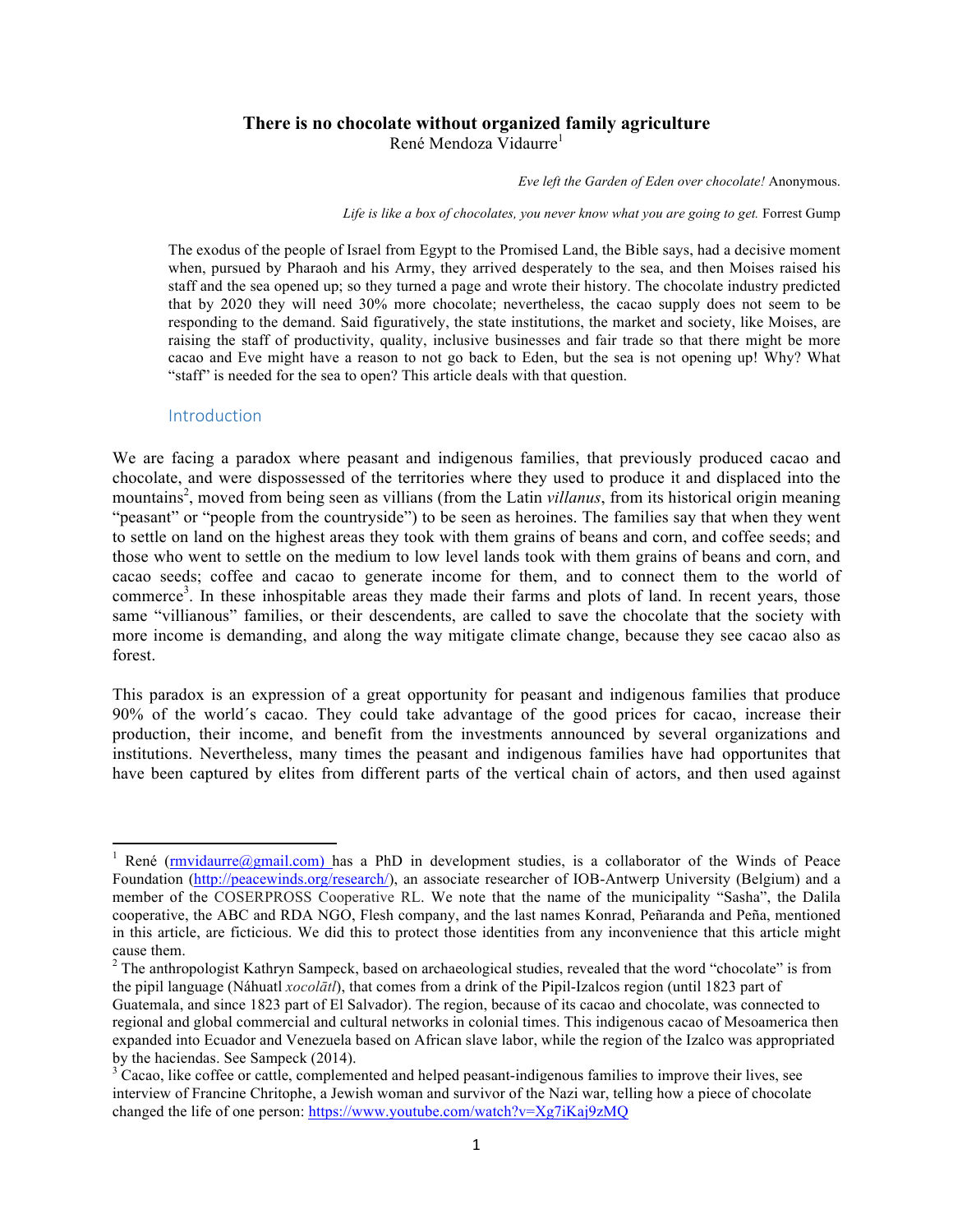### **There is no chocolate without organized family agriculture** René Mendoza Vidaurre<sup>1</sup>

*Eve left the Garden of Eden over chocolate!* Anonymous.

 *Life is like a box of chocolates, you never know what you are going to get.* Forrest Gump

The exodus of the people of Israel from Egypt to the Promised Land, the Bible says, had a decisive moment when, pursued by Pharaoh and his Army, they arrived desperately to the sea, and then Moises raised his staff and the sea opened up; so they turned a page and wrote their history. The chocolate industry predicted that by 2020 they will need 30% more chocolate; nevertheless, the cacao supply does not seem to be responding to the demand. Said figuratively, the state institutions, the market and society, like Moises, are raising the staff of productivity, quality, inclusive businesses and fair trade so that there might be more cacao and Eve might have a reason to not go back to Eden, but the sea is not opening up! Why? What "staff" is needed for the sea to open? This article deals with that question.

### **Introduction**

 

We are facing a paradox where peasant and indigenous families, that previously produced cacao and chocolate, and were dispossessed of the territories where they used to produce it and displaced into the mountains<sup>2</sup>, moved from being seen as villians (from the Latin *villanus*, from its historical origin meaning "peasant" or "people from the countryside") to be seen as heroines. The families say that when they went to settle on land on the highest areas they took with them grains of beans and corn, and coffee seeds; and those who went to settle on the medium to low level lands took with them grains of beans and corn, and cacao seeds; coffee and cacao to generate income for them, and to connect them to the world of commerce<sup>3</sup>. In these inhospitable areas they made their farms and plots of land. In recent years, those same "villianous" families, or their descendents, are called to save the chocolate that the society with more income is demanding, and along the way mitigate climate change, because they see cacao also as forest.

This paradox is an expression of a great opportunity for peasant and indigenous families that produce 90% of the world´s cacao. They could take advantage of the good prices for cacao, increase their production, their income, and benefit from the investments announced by several organizations and institutions. Nevertheless, many times the peasant and indigenous families have had opportunites that have been captured by elites from different parts of the vertical chain of actors, and then used against

<sup>&</sup>lt;sup>1</sup> René (rmvidaurre@gmail.com) has a PhD in development studies, is a collaborator of the Winds of Peace Foundation (http://peacewinds.org/research/), an associate researcher of IOB-Antwerp University (Belgium) and a member of the COSERPROSS Cooperative RL. We note that the name of the municipality "Sasha", the Dalila cooperative, the ABC and RDA NGO, Flesh company, and the last names Konrad, Peñaranda and Peña, mentioned in this article, are ficticious. We did this to protect those identities from any inconvenience that this article might cause them.

<sup>&</sup>lt;sup>2</sup> The anthropologist Kathryn Sampeck, based on archaeological studies, revealed that the word "chocolate" is from the pipil language (Náhuatl *xocolātl*), that comes from a drink of the Pipil-Izalcos region (until 1823 part of

Guatemala, and since 1823 part of El Salvador). The region, because of its cacao and chocolate, was connected to regional and global commercial and cultural networks in colonial times. This indigenous cacao of Mesoamerica then expanded into Ecuador and Venezuela based on African slave labor, while the region of the Izalco was appropriated by the haciendas. See Sampeck (2014).<br> $3 \text{ Cacao}$ , like coffee or cattle, complemented and helped peasant-indigenous families to improve their lives, see

interview of Francine Chritophe, a Jewish woman and survivor of the Nazi war, telling how a piece of chocolate changed the life of one person: https://www.youtube.com/watch?v=Xg7iKaj9zMQ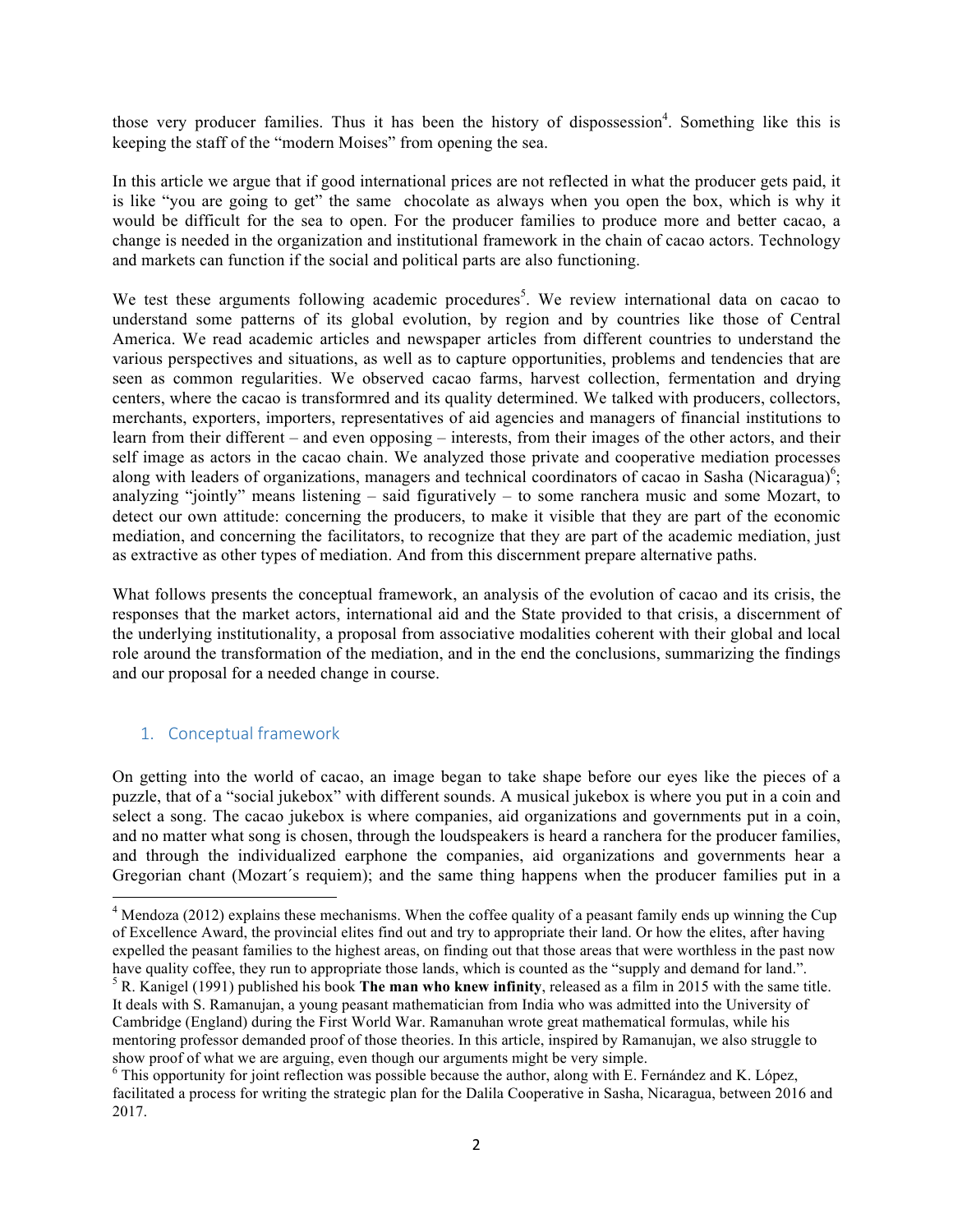those very producer families. Thus it has been the history of dispossession<sup>4</sup>. Something like this is keeping the staff of the "modern Moises" from opening the sea.

In this article we argue that if good international prices are not reflected in what the producer gets paid, it is like "you are going to get" the same chocolate as always when you open the box, which is why it would be difficult for the sea to open. For the producer families to produce more and better cacao, a change is needed in the organization and institutional framework in the chain of cacao actors. Technology and markets can function if the social and political parts are also functioning.

We test these arguments following academic procedures<sup>5</sup>. We review international data on cacao to understand some patterns of its global evolution, by region and by countries like those of Central America. We read academic articles and newspaper articles from different countries to understand the various perspectives and situations, as well as to capture opportunities, problems and tendencies that are seen as common regularities. We observed cacao farms, harvest collection, fermentation and drying centers, where the cacao is transformred and its quality determined. We talked with producers, collectors, merchants, exporters, importers, representatives of aid agencies and managers of financial institutions to learn from their different – and even opposing – interests, from their images of the other actors, and their self image as actors in the cacao chain. We analyzed those private and cooperative mediation processes along with leaders of organizations, managers and technical coordinators of cacao in Sasha (Nicaragua)<sup>6</sup>; analyzing "jointly" means listening – said figuratively – to some ranchera music and some Mozart, to detect our own attitude: concerning the producers, to make it visible that they are part of the economic mediation, and concerning the facilitators, to recognize that they are part of the academic mediation, just as extractive as other types of mediation. And from this discernment prepare alternative paths.

What follows presents the conceptual framework, an analysis of the evolution of cacao and its crisis, the responses that the market actors, international aid and the State provided to that crisis, a discernment of the underlying institutionality, a proposal from associative modalities coherent with their global and local role around the transformation of the mediation, and in the end the conclusions, summarizing the findings and our proposal for a needed change in course.

# 1. Conceptual framework

 

On getting into the world of cacao, an image began to take shape before our eyes like the pieces of a puzzle, that of a "social jukebox" with different sounds. A musical jukebox is where you put in a coin and select a song. The cacao jukebox is where companies, aid organizations and governments put in a coin, and no matter what song is chosen, through the loudspeakers is heard a ranchera for the producer families, and through the individualized earphone the companies, aid organizations and governments hear a Gregorian chant (Mozart´s requiem); and the same thing happens when the producer families put in a

<sup>&</sup>lt;sup>4</sup> Mendoza (2012) explains these mechanisms. When the coffee quality of a peasant family ends up winning the Cup of Excellence Award, the provincial elites find out and try to appropriate their land. Or how the elites, after having expelled the peasant families to the highest areas, on finding out that those areas that were worthless in the past now have quality coffee, they run to appropriate those lands, which is counted as the "supply and demand for land.".<br><sup>5</sup> R. Kanigel (1991) published his book **The man who knew infinity**, released as a film in 2015 with the sa It deals with S. Ramanujan, a young peasant mathematician from India who was admitted into the University of Cambridge (England) during the First World War. Ramanuhan wrote great mathematical formulas, while his mentoring professor demanded proof of those theories. In this article, inspired by Ramanujan, we also struggle to show proof of what we are arguing, even though our arguments might be very simple.

<sup>&</sup>lt;sup>6</sup> This opportunity for joint reflection was possible because the author, along with E. Fernández and K. López, facilitated a process for writing the strategic plan for the Dalila Cooperative in Sasha, Nicaragua, between 2016 and 2017.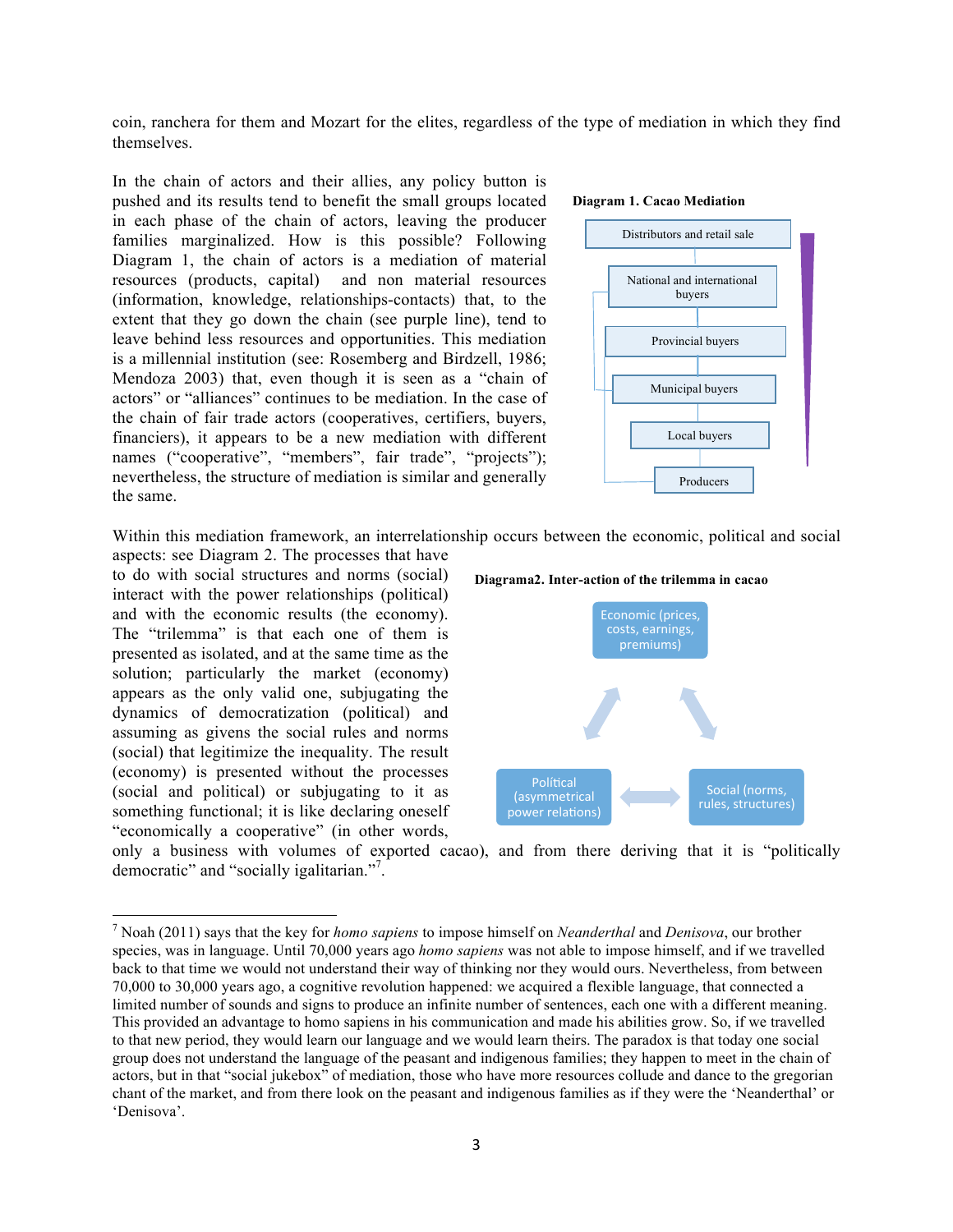coin, ranchera for them and Mozart for the elites, regardless of the type of mediation in which they find themselves.

In the chain of actors and their allies, any policy button is pushed and its results tend to benefit the small groups located in each phase of the chain of actors, leaving the producer families marginalized. How is this possible? Following Diagram 1, the chain of actors is a mediation of material resources (products, capital) and non material resources (information, knowledge, relationships-contacts) that, to the extent that they go down the chain (see purple line), tend to leave behind less resources and opportunities. This mediation is a millennial institution (see: Rosemberg and Birdzell, 1986; Mendoza 2003) that, even though it is seen as a "chain of actors" or "alliances" continues to be mediation. In the case of the chain of fair trade actors (cooperatives, certifiers, buyers, financiers), it appears to be a new mediation with different names ("cooperative", "members", fair trade", "projects"); nevertheless, the structure of mediation is similar and generally the same.

#### **Diagram 1. Cacao Mediation**



Within this mediation framework, an interrelationship occurs between the economic, political and social

aspects: see Diagram 2. The processes that have to do with social structures and norms (social) interact with the power relationships (political) and with the economic results (the economy). The "trilemma" is that each one of them is presented as isolated, and at the same time as the solution; particularly the market (economy) appears as the only valid one, subjugating the dynamics of democratization (political) and assuming as givens the social rules and norms (social) that legitimize the inequality. The result (economy) is presented without the processes (social and political) or subjugating to it as something functional; it is like declaring oneself "economically a cooperative" (in other words,

 





only a business with volumes of exported cacao), and from there deriving that it is "politically democratic" and "socially igalitarian."<sup>7</sup>.

<sup>7</sup> Noah (2011) says that the key for *homo sapiens* to impose himself on *Neanderthal* and *Denisova*, our brother species, was in language. Until 70,000 years ago *homo sapiens* was not able to impose himself, and if we travelled back to that time we would not understand their way of thinking nor they would ours. Nevertheless, from between 70,000 to 30,000 years ago, a cognitive revolution happened: we acquired a flexible language, that connected a limited number of sounds and signs to produce an infinite number of sentences, each one with a different meaning. This provided an advantage to homo sapiens in his communication and made his abilities grow. So, if we travelled to that new period, they would learn our language and we would learn theirs. The paradox is that today one social group does not understand the language of the peasant and indigenous families; they happen to meet in the chain of actors, but in that "social jukebox" of mediation, those who have more resources collude and dance to the gregorian chant of the market, and from there look on the peasant and indigenous families as if they were the 'Neanderthal' or 'Denisova'.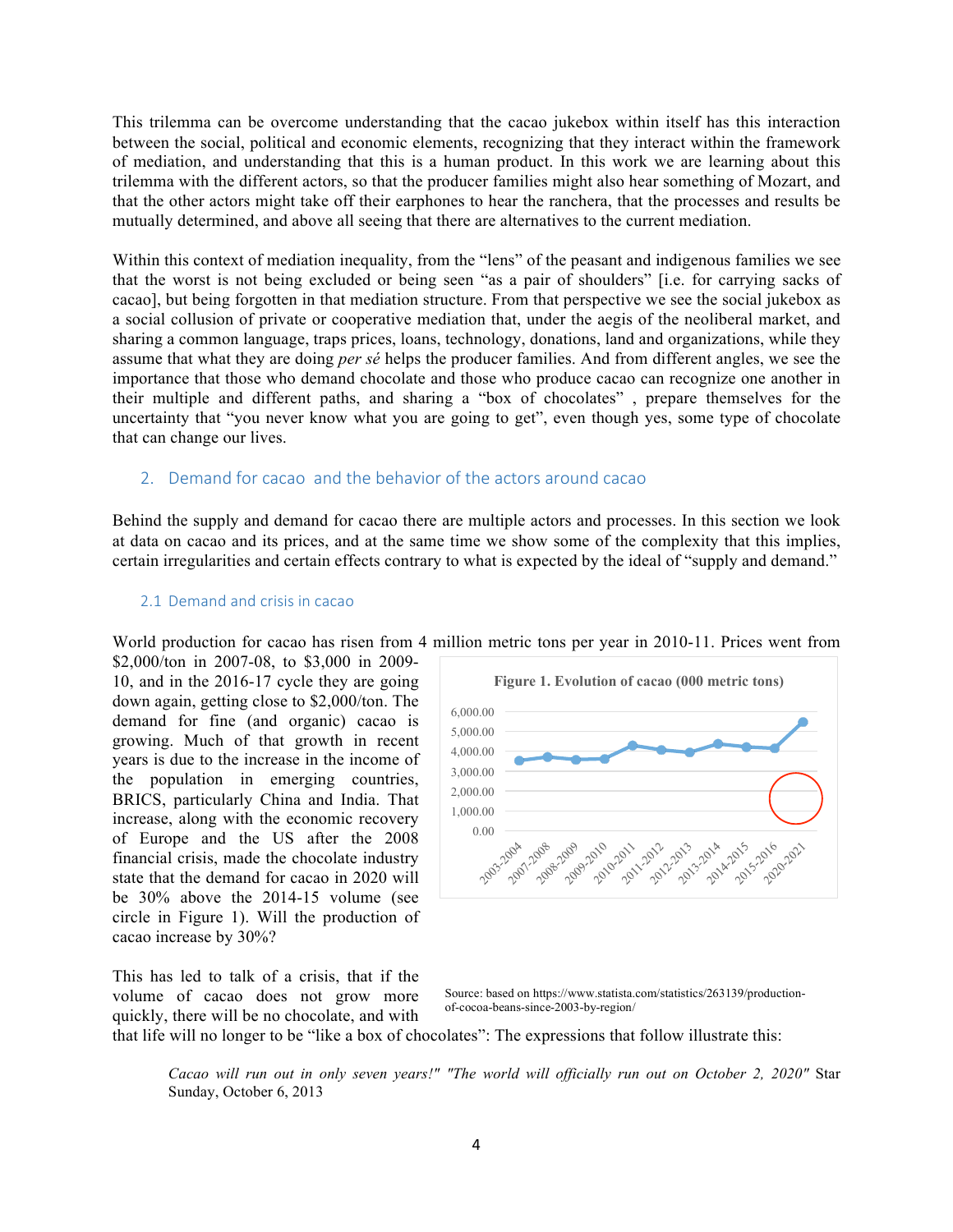This trilemma can be overcome understanding that the cacao jukebox within itself has this interaction between the social, political and economic elements, recognizing that they interact within the framework of mediation, and understanding that this is a human product. In this work we are learning about this trilemma with the different actors, so that the producer families might also hear something of Mozart, and that the other actors might take off their earphones to hear the ranchera, that the processes and results be mutually determined, and above all seeing that there are alternatives to the current mediation.

Within this context of mediation inequality, from the "lens" of the peasant and indigenous families we see that the worst is not being excluded or being seen "as a pair of shoulders" [i.e. for carrying sacks of cacao], but being forgotten in that mediation structure. From that perspective we see the social jukebox as a social collusion of private or cooperative mediation that, under the aegis of the neoliberal market, and sharing a common language, traps prices, loans, technology, donations, land and organizations, while they assume that what they are doing *per sé* helps the producer families. And from different angles, we see the importance that those who demand chocolate and those who produce cacao can recognize one another in their multiple and different paths, and sharing a "box of chocolates" , prepare themselves for the uncertainty that "you never know what you are going to get", even though yes, some type of chocolate that can change our lives.

# 2. Demand for cacao and the behavior of the actors around cacao

Behind the supply and demand for cacao there are multiple actors and processes. In this section we look at data on cacao and its prices, and at the same time we show some of the complexity that this implies, certain irregularities and certain effects contrary to what is expected by the ideal of "supply and demand."

### 2.1 Demand and crisis in cacao

World production for cacao has risen from 4 million metric tons per year in 2010-11. Prices went from

\$2,000/ton in 2007-08, to \$3,000 in 2009- 10, and in the 2016-17 cycle they are going down again, getting close to \$2,000/ton. The demand for fine (and organic) cacao is growing. Much of that growth in recent years is due to the increase in the income of the population in emerging countries, BRICS, particularly China and India. That increase, along with the economic recovery of Europe and the US after the 2008 financial crisis, made the chocolate industry state that the demand for cacao in 2020 will be 30% above the 2014-15 volume (see circle in Figure 1). Will the production of cacao increase by 30%?

This has led to talk of a crisis, that if the volume of cacao does not grow more quickly, there will be no chocolate, and with



Source: based on https://www.statista.com/statistics/263139/productionof-cocoa-beans-since-2003-by-region/

that life will no longer to be "like a box of chocolates": The expressions that follow illustrate this:

*Cacao will run out in only seven years!" "The world will officially run out on October 2, 2020"* Star Sunday, October 6, 2013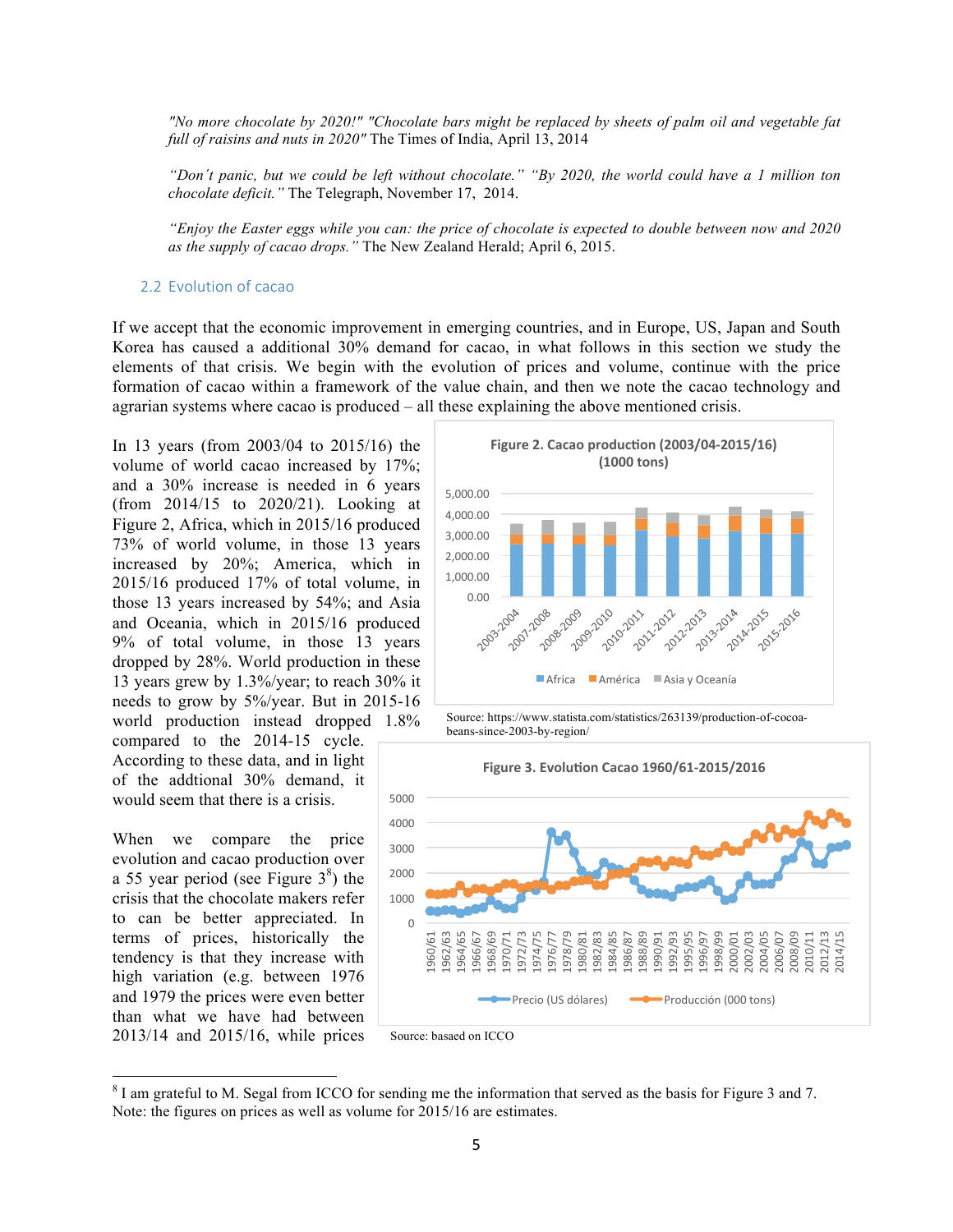*"No more chocolate by 2020!" "Chocolate bars might be replaced by sheets of palm oil and vegetable fat full of raisins and nuts in 2020"* The Times of India, April 13, 2014

*"Don´t panic, but we could be left without chocolate." "By 2020, the world could have a 1 million ton chocolate deficit."* The Telegraph, November 17, 2014.

*"Enjoy the Easter eggs while you can: the price of chocolate is expected to double between now and 2020 as the supply of cacao drops."* The New Zealand Herald; April 6, 2015.

### 2.2 Evolution of cacao

If we accept that the economic improvement in emerging countries, and in Europe, US, Japan and South Korea has caused a additional 30% demand for cacao, in what follows in this section we study the elements of that crisis. We begin with the evolution of prices and volume, continue with the price formation of cacao within a framework of the value chain, and then we note the cacao technology and agrarian systems where cacao is produced – all these explaining the above mentioned crisis.

In 13 years (from 2003/04 to 2015/16) the volume of world cacao increased by 17%; and a 30% increase is needed in 6 years (from 2014/15 to 2020/21). Looking at Figure 2, Africa, which in 2015/16 produced 73% of world volume, in those 13 years increased by 20%; America, which in 2015/16 produced 17% of total volume, in those 13 years increased by 54%; and Asia and Oceania, which in 2015/16 produced 9% of total volume, in those 13 years dropped by 28%. World production in these 13 years grew by 1.3%/year; to reach 30% it needs to grow by 5%/year. But in 2015-16 world production instead dropped 1.8% compared to the 2014-15 cycle.

According to these data, and in light of the addtional 30% demand, it would seem that there is a crisis.

When we compare the price evolution and cacao production over a 55 year period (see Figure  $3<sup>8</sup>$ ) the crisis that the chocolate makers refer to can be better appreciated. In terms of prices, historically the tendency is that they increase with high variation (e.g. between 1976 and 1979 the prices were even better than what we have had between 2013/14 and 2015/16, while prices



Source: https://www.statista.com/statistics/263139/production-of-cocoabeans-since-2003-by-region/





<sup>&</sup>lt;sup>8</sup> I am grateful to M. Segal from ICCO for sending me the information that served as the basis for Figure 3 and 7. Note: the figures on prices as well as volume for 2015/16 are estimates.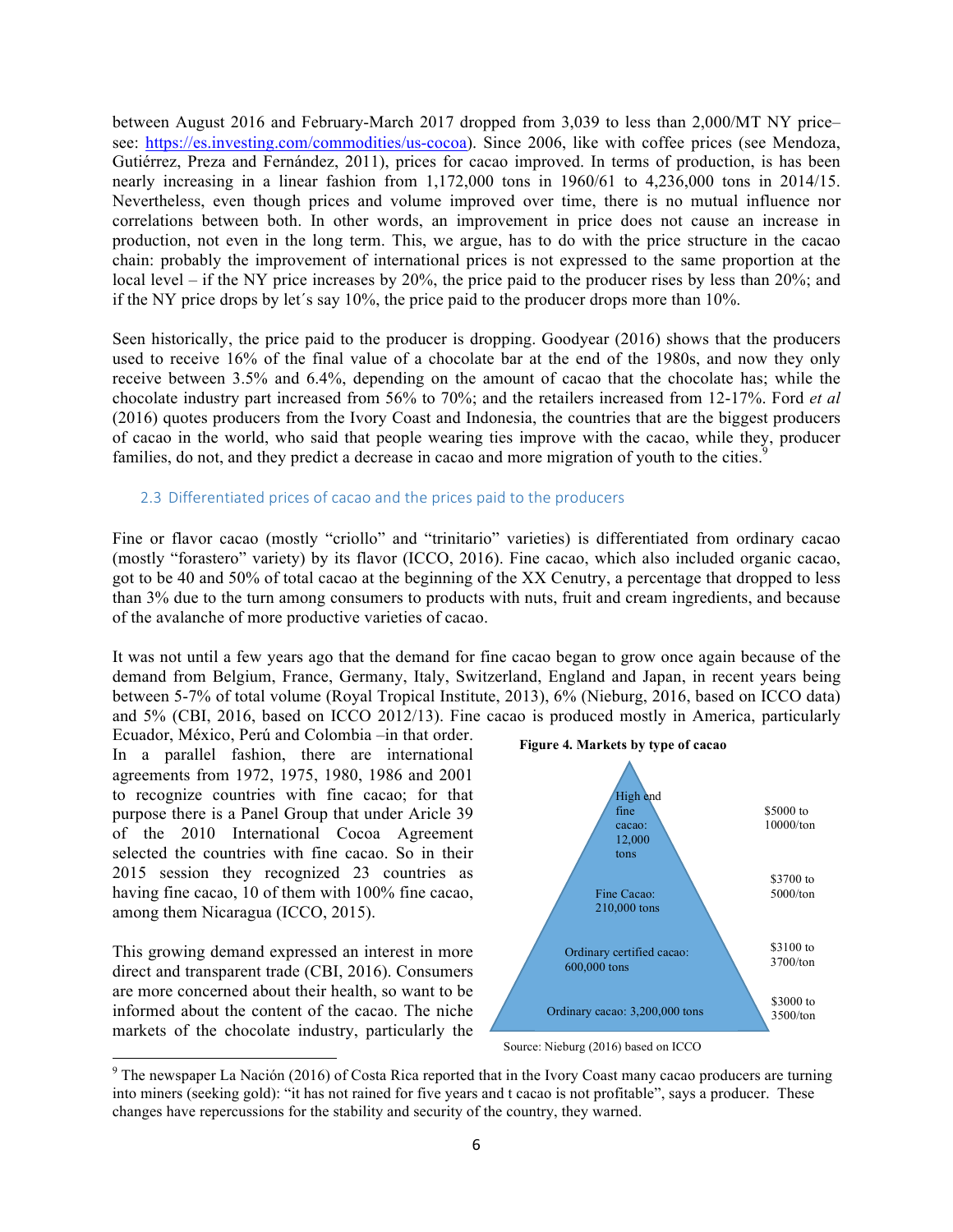between August 2016 and February-March 2017 dropped from 3,039 to less than 2,000/MT NY price– see: https://es.investing.com/commodities/us-cocoa). Since 2006, like with coffee prices (see Mendoza, Gutiérrez, Preza and Fernández, 2011), prices for cacao improved. In terms of production, is has been nearly increasing in a linear fashion from 1,172,000 tons in 1960/61 to 4,236,000 tons in 2014/15. Nevertheless, even though prices and volume improved over time, there is no mutual influence nor correlations between both. In other words, an improvement in price does not cause an increase in production, not even in the long term. This, we argue, has to do with the price structure in the cacao chain: probably the improvement of international prices is not expressed to the same proportion at the local level – if the NY price increases by 20%, the price paid to the producer rises by less than 20%; and if the NY price drops by let´s say 10%, the price paid to the producer drops more than 10%.

Seen historically, the price paid to the producer is dropping. Goodyear (2016) shows that the producers used to receive 16% of the final value of a chocolate bar at the end of the 1980s, and now they only receive between 3.5% and 6.4%, depending on the amount of cacao that the chocolate has; while the chocolate industry part increased from 56% to 70%; and the retailers increased from 12-17%. Ford *et al* (2016) quotes producers from the Ivory Coast and Indonesia, the countries that are the biggest producers of cacao in the world, who said that people wearing ties improve with the cacao, while they, producer families, do not, and they predict a decrease in cacao and more migration of youth to the cities.<sup>9</sup>

### 2.3 Differentiated prices of cacao and the prices paid to the producers

Fine or flavor cacao (mostly "criollo" and "trinitario" varieties) is differentiated from ordinary cacao (mostly "forastero" variety) by its flavor (ICCO, 2016). Fine cacao, which also included organic cacao, got to be 40 and 50% of total cacao at the beginning of the XX Cenutry, a percentage that dropped to less than 3% due to the turn among consumers to products with nuts, fruit and cream ingredients, and because of the avalanche of more productive varieties of cacao.

It was not until a few years ago that the demand for fine cacao began to grow once again because of the demand from Belgium, France, Germany, Italy, Switzerland, England and Japan, in recent years being between 5-7% of total volume (Royal Tropical Institute, 2013), 6% (Nieburg, 2016, based on ICCO data) and 5% (CBI, 2016, based on ICCO 2012/13). Fine cacao is produced mostly in America, particularly

Ecuador, México, Perú and Colombia –in that order. In a parallel fashion, there are international agreements from 1972, 1975, 1980, 1986 and 2001 to recognize countries with fine cacao; for that purpose there is a Panel Group that under Aricle 39 of the 2010 International Cocoa Agreement selected the countries with fine cacao. So in their 2015 session they recognized 23 countries as having fine cacao, 10 of them with 100% fine cacao, among them Nicaragua (ICCO, 2015).

This growing demand expressed an interest in more direct and transparent trade (CBI, 2016). Consumers are more concerned about their health, so want to be informed about the content of the cacao. The niche markets of the chocolate industry, particularly the



Source: Nieburg (2016) based on ICCO

<sup>&</sup>lt;sup>9</sup> The newspaper La Nación (2016) of Costa Rica reported that in the Ivory Coast many cacao producers are turning into miners (seeking gold): "it has not rained for five years and t cacao is not profitable", says a producer. These changes have repercussions for the stability and security of the country, they warned.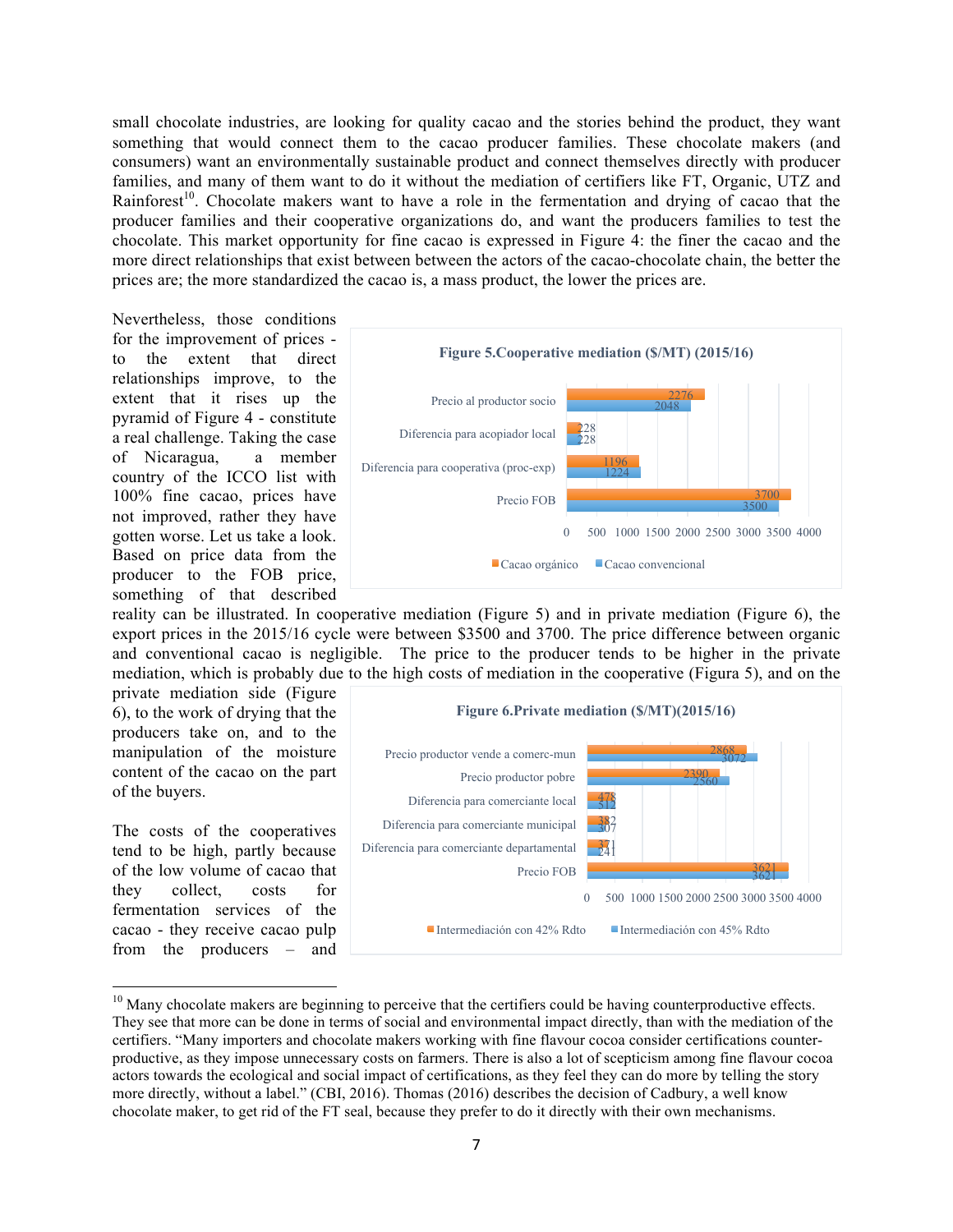small chocolate industries, are looking for quality cacao and the stories behind the product, they want something that would connect them to the cacao producer families. These chocolate makers (and consumers) want an environmentally sustainable product and connect themselves directly with producer families, and many of them want to do it without the mediation of certifiers like FT, Organic, UTZ and Rainforest<sup>10</sup>. Chocolate makers want to have a role in the fermentation and drying of cacao that the producer families and their cooperative organizations do, and want the producers families to test the chocolate. This market opportunity for fine cacao is expressed in Figure 4: the finer the cacao and the more direct relationships that exist between between the actors of the cacao-chocolate chain, the better the prices are; the more standardized the cacao is, a mass product, the lower the prices are.

Nevertheless, those conditions for the improvement of prices to the extent that direct relationships improve, to the extent that it rises up the pyramid of Figure 4 - constitute a real challenge. Taking the case of Nicaragua, a member country of the ICCO list with 100% fine cacao, prices have not improved, rather they have gotten worse. Let us take a look. Based on price data from the producer to the FOB price, something of that described



reality can be illustrated. In cooperative mediation (Figure 5) and in private mediation (Figure 6), the export prices in the 2015/16 cycle were between \$3500 and 3700. The price difference between organic and conventional cacao is negligible. The price to the producer tends to be higher in the private mediation, which is probably due to the high costs of mediation in the cooperative (Figura 5), and on the

private mediation side (Figure 6), to the work of drying that the producers take on, and to the manipulation of the moisture content of the cacao on the part of the buyers.

The costs of the cooperatives tend to be high, partly because of the low volume of cacao that they collect, costs for fermentation services of the cacao - they receive cacao pulp from the producers – and



 $10$  Many chocolate makers are beginning to perceive that the certifiers could be having counterproductive effects. They see that more can be done in terms of social and environmental impact directly, than with the mediation of the certifiers. "Many importers and chocolate makers working with fine flavour cocoa consider certifications counterproductive, as they impose unnecessary costs on farmers. There is also a lot of scepticism among fine flavour cocoa actors towards the ecological and social impact of certifications, as they feel they can do more by telling the story more directly, without a label." (CBI, 2016). Thomas (2016) describes the decision of Cadbury, a well know chocolate maker, to get rid of the FT seal, because they prefer to do it directly with their own mechanisms.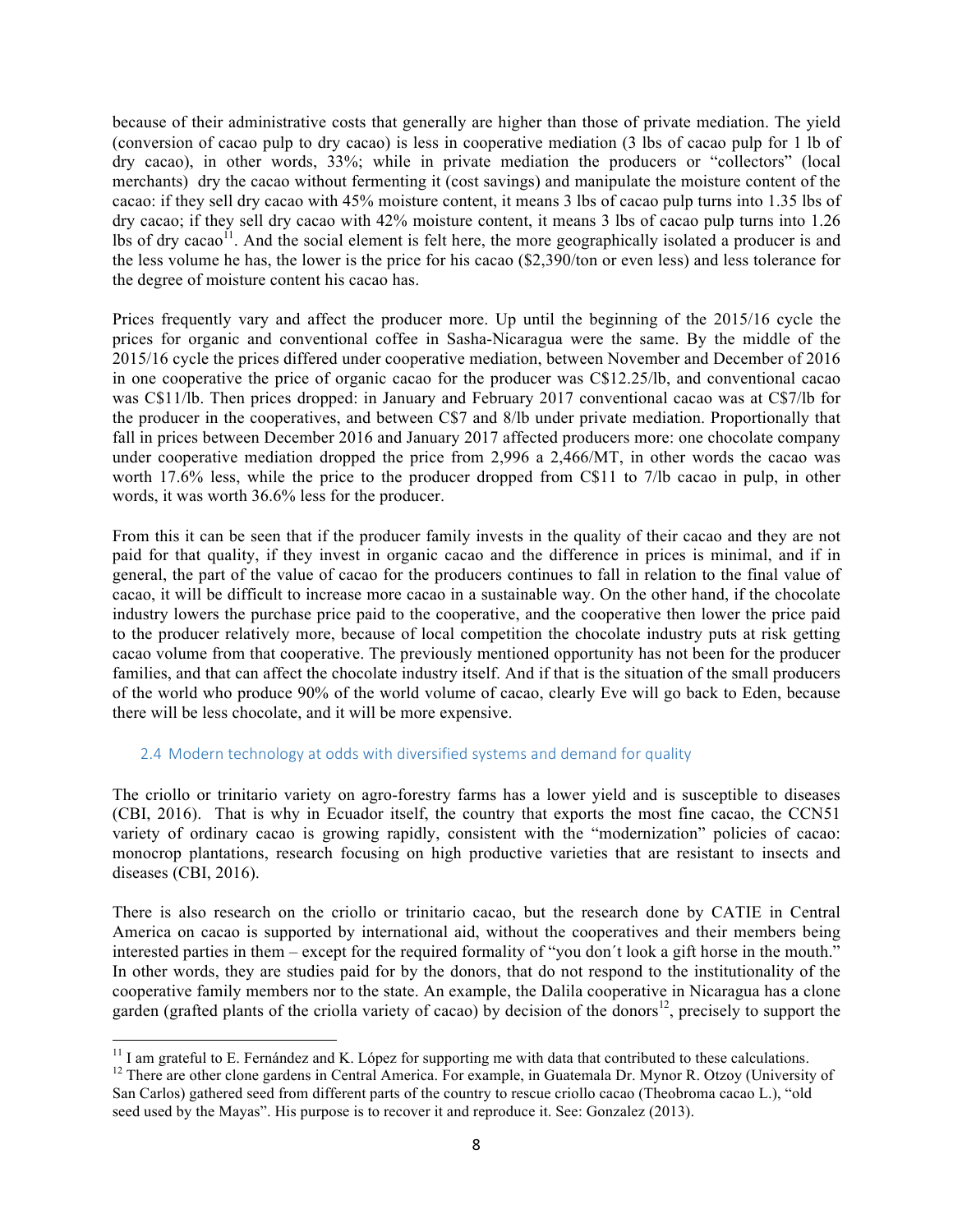because of their administrative costs that generally are higher than those of private mediation. The yield (conversion of cacao pulp to dry cacao) is less in cooperative mediation (3 lbs of cacao pulp for 1 lb of dry cacao), in other words, 33%; while in private mediation the producers or "collectors" (local merchants) dry the cacao without fermenting it (cost savings) and manipulate the moisture content of the cacao: if they sell dry cacao with 45% moisture content, it means 3 lbs of cacao pulp turns into 1.35 lbs of dry cacao; if they sell dry cacao with 42% moisture content, it means 3 lbs of cacao pulp turns into 1.26 lbs of dry cacao<sup>11</sup>. And the social element is felt here, the more geographically isolated a producer is and the less volume he has, the lower is the price for his cacao (\$2,390/ton or even less) and less tolerance for the degree of moisture content his cacao has.

Prices frequently vary and affect the producer more. Up until the beginning of the 2015/16 cycle the prices for organic and conventional coffee in Sasha-Nicaragua were the same. By the middle of the 2015/16 cycle the prices differed under cooperative mediation, between November and December of 2016 in one cooperative the price of organic cacao for the producer was C\$12.25/lb, and conventional cacao was C\$11/lb. Then prices dropped: in January and February 2017 conventional cacao was at C\$7/lb for the producer in the cooperatives, and between C\$7 and 8/lb under private mediation. Proportionally that fall in prices between December 2016 and January 2017 affected producers more: one chocolate company under cooperative mediation dropped the price from 2,996 a 2,466/MT, in other words the cacao was worth 17.6% less, while the price to the producer dropped from C\$11 to 7/lb cacao in pulp, in other words, it was worth 36.6% less for the producer.

From this it can be seen that if the producer family invests in the quality of their cacao and they are not paid for that quality, if they invest in organic cacao and the difference in prices is minimal, and if in general, the part of the value of cacao for the producers continues to fall in relation to the final value of cacao, it will be difficult to increase more cacao in a sustainable way. On the other hand, if the chocolate industry lowers the purchase price paid to the cooperative, and the cooperative then lower the price paid to the producer relatively more, because of local competition the chocolate industry puts at risk getting cacao volume from that cooperative. The previously mentioned opportunity has not been for the producer families, and that can affect the chocolate industry itself. And if that is the situation of the small producers of the world who produce 90% of the world volume of cacao, clearly Eve will go back to Eden, because there will be less chocolate, and it will be more expensive.

# 2.4 Modern technology at odds with diversified systems and demand for quality

The criollo or trinitario variety on agro-forestry farms has a lower yield and is susceptible to diseases (CBI, 2016). That is why in Ecuador itself, the country that exports the most fine cacao, the CCN51 variety of ordinary cacao is growing rapidly, consistent with the "modernization" policies of cacao: monocrop plantations, research focusing on high productive varieties that are resistant to insects and diseases (CBI, 2016).

There is also research on the criollo or trinitario cacao, but the research done by CATIE in Central America on cacao is supported by international aid, without the cooperatives and their members being interested parties in them – except for the required formality of "you don´t look a gift horse in the mouth." In other words, they are studies paid for by the donors, that do not respond to the institutionality of the cooperative family members nor to the state. An example, the Dalila cooperative in Nicaragua has a clone garden (grafted plants of the criolla variety of cacao) by decision of the donors<sup>12</sup>, precisely to support the

 $11$  I am grateful to E. Fernández and K. López for supporting me with data that contributed to these calculations.

<sup>&</sup>lt;sup>12</sup> There are other clone gardens in Central America. For example, in Guatemala Dr. Mynor R. Otzoy (University of San Carlos) gathered seed from different parts of the country to rescue criollo cacao (Theobroma cacao L.), "old seed used by the Mayas". His purpose is to recover it and reproduce it. See: Gonzalez (2013).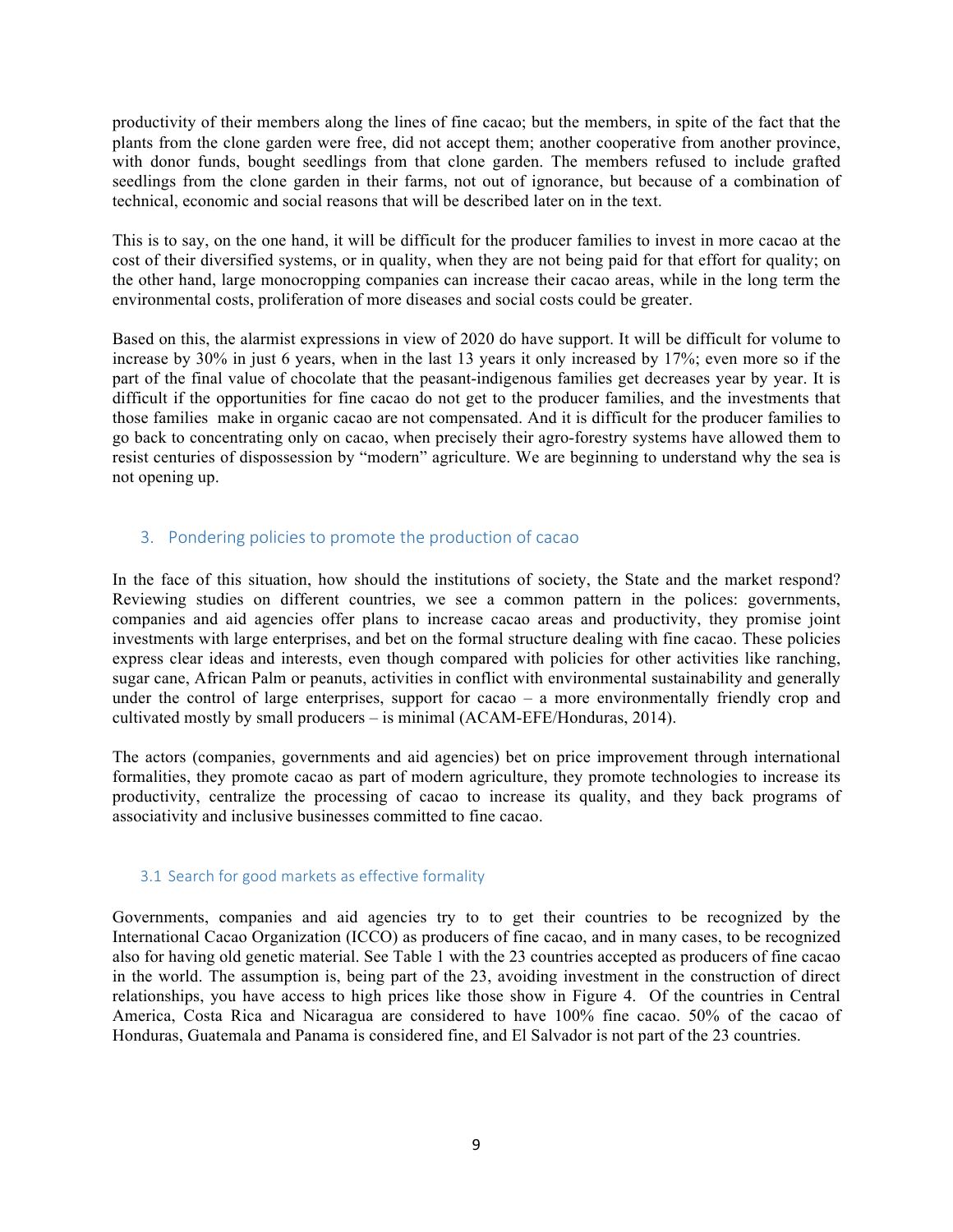productivity of their members along the lines of fine cacao; but the members, in spite of the fact that the plants from the clone garden were free, did not accept them; another cooperative from another province, with donor funds, bought seedlings from that clone garden. The members refused to include grafted seedlings from the clone garden in their farms, not out of ignorance, but because of a combination of technical, economic and social reasons that will be described later on in the text.

This is to say, on the one hand, it will be difficult for the producer families to invest in more cacao at the cost of their diversified systems, or in quality, when they are not being paid for that effort for quality; on the other hand, large monocropping companies can increase their cacao areas, while in the long term the environmental costs, proliferation of more diseases and social costs could be greater.

Based on this, the alarmist expressions in view of 2020 do have support. It will be difficult for volume to increase by 30% in just 6 years, when in the last 13 years it only increased by 17%; even more so if the part of the final value of chocolate that the peasant-indigenous families get decreases year by year. It is difficult if the opportunities for fine cacao do not get to the producer families, and the investments that those families make in organic cacao are not compensated. And it is difficult for the producer families to go back to concentrating only on cacao, when precisely their agro-forestry systems have allowed them to resist centuries of dispossession by "modern" agriculture. We are beginning to understand why the sea is not opening up.

# 3. Pondering policies to promote the production of cacao

In the face of this situation, how should the institutions of society, the State and the market respond? Reviewing studies on different countries, we see a common pattern in the polices: governments, companies and aid agencies offer plans to increase cacao areas and productivity, they promise joint investments with large enterprises, and bet on the formal structure dealing with fine cacao. These policies express clear ideas and interests, even though compared with policies for other activities like ranching, sugar cane, African Palm or peanuts, activities in conflict with environmental sustainability and generally under the control of large enterprises, support for cacao – a more environmentally friendly crop and cultivated mostly by small producers – is minimal (ACAM-EFE/Honduras, 2014).

The actors (companies, governments and aid agencies) bet on price improvement through international formalities, they promote cacao as part of modern agriculture, they promote technologies to increase its productivity, centralize the processing of cacao to increase its quality, and they back programs of associativity and inclusive businesses committed to fine cacao.

# 3.1 Search for good markets as effective formality

Governments, companies and aid agencies try to to get their countries to be recognized by the International Cacao Organization (ICCO) as producers of fine cacao, and in many cases, to be recognized also for having old genetic material. See Table 1 with the 23 countries accepted as producers of fine cacao in the world. The assumption is, being part of the 23, avoiding investment in the construction of direct relationships, you have access to high prices like those show in Figure 4. Of the countries in Central America, Costa Rica and Nicaragua are considered to have 100% fine cacao. 50% of the cacao of Honduras, Guatemala and Panama is considered fine, and El Salvador is not part of the 23 countries.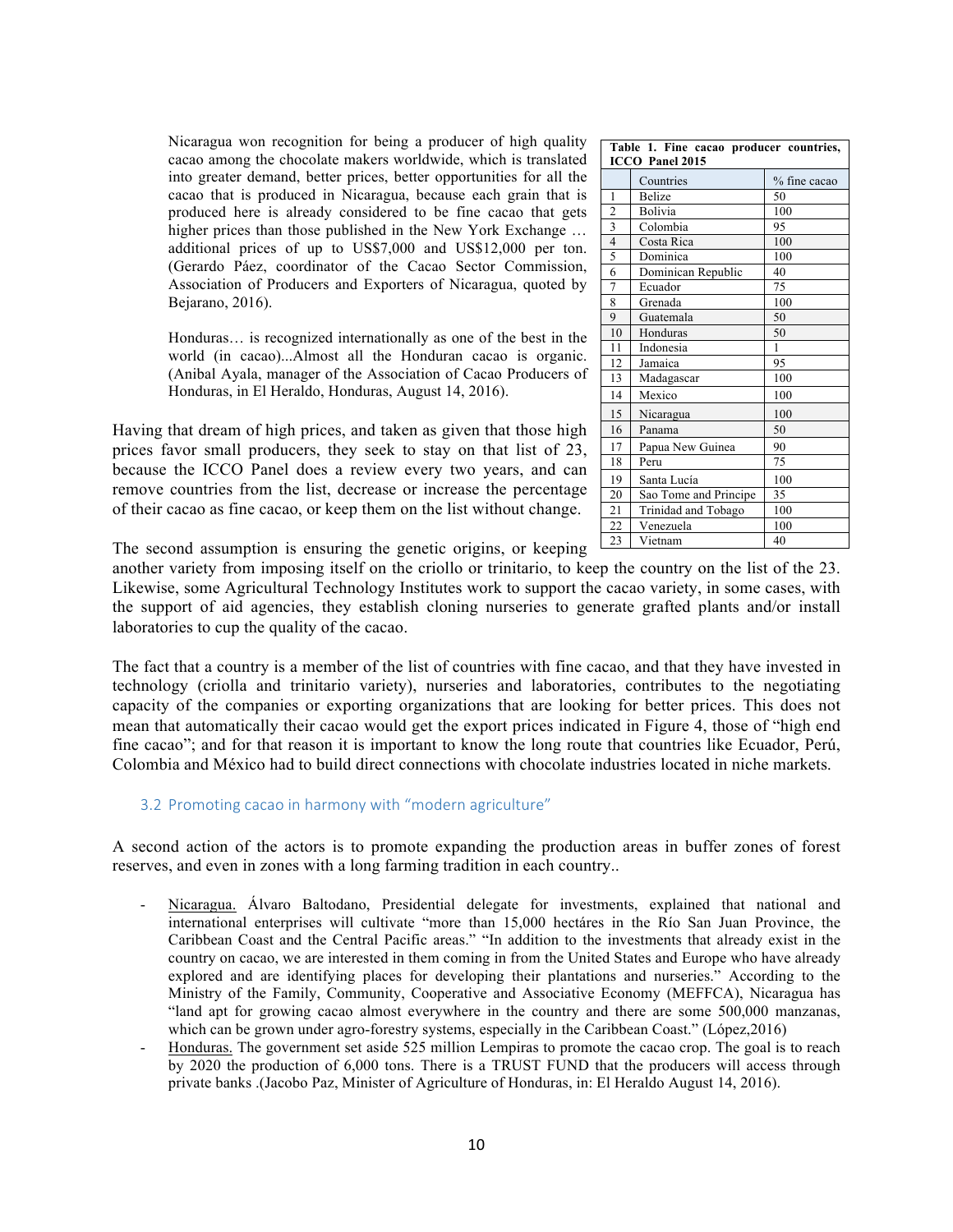Nicaragua won recognition for being a producer of high quality cacao among the chocolate makers worldwide, which is translated into greater demand, better prices, better opportunities for all the cacao that is produced in Nicaragua, because each grain that is produced here is already considered to be fine cacao that gets higher prices than those published in the New York Exchange ... additional prices of up to US\$7,000 and US\$12,000 per ton. (Gerardo Páez, coordinator of the Cacao Sector Commission, Association of Producers and Exporters of Nicaragua, quoted by Bejarano, 2016).

Honduras… is recognized internationally as one of the best in the world (in cacao)...Almost all the Honduran cacao is organic. (Anibal Ayala, manager of the Association of Cacao Producers of Honduras, in El Heraldo, Honduras, August 14, 2016).

Having that dream of high prices, and taken as given that those high prices favor small producers, they seek to stay on that list of 23, because the ICCO Panel does a review every two years, and can remove countries from the list, decrease or increase the percentage of their cacao as fine cacao, or keep them on the list without change.

| Table 1. Fine cacao producer countries,<br>ICCO Panel 2015 |                       |              |
|------------------------------------------------------------|-----------------------|--------------|
|                                                            | Countries             | % fine cacao |
| 1                                                          | <b>Belize</b>         | 50           |
| $\overline{2}$                                             | Bolivia               | 100          |
| $\overline{\mathbf{3}}$                                    | Colombia              | 95           |
| $\overline{4}$                                             | Costa Rica            | 100          |
| 5                                                          | Dominica              | 100          |
| 6                                                          | Dominican Republic    | 40           |
| 7                                                          | Ecuador               | 75           |
| 8                                                          | Grenada               | 100          |
| 9                                                          | Guatemala             | 50           |
| 10                                                         | Honduras              | 50           |
| 11                                                         | Indonesia             | 1            |
| 12                                                         | Jamaica               | 95           |
| 13                                                         | Madagascar            | 100          |
| 14                                                         | Mexico                | 100          |
| 15                                                         | Nicaragua             | 100          |
| 16                                                         | Panama                | 50           |
| 17                                                         | Papua New Guinea      | 90           |
| 18                                                         | Peru                  | 75           |
| 19                                                         | Santa Lucía           | 100          |
| 20                                                         | Sao Tome and Principe | 35           |
| 21                                                         | Trinidad and Tobago   | 100          |
| 22                                                         | Venezuela             | 100          |
| 23                                                         | Vietnam               | 40           |

The second assumption is ensuring the genetic origins, or keeping

another variety from imposing itself on the criollo or trinitario, to keep the country on the list of the 23. Likewise, some Agricultural Technology Institutes work to support the cacao variety, in some cases, with the support of aid agencies, they establish cloning nurseries to generate grafted plants and/or install laboratories to cup the quality of the cacao.

The fact that a country is a member of the list of countries with fine cacao, and that they have invested in technology (criolla and trinitario variety), nurseries and laboratories, contributes to the negotiating capacity of the companies or exporting organizations that are looking for better prices. This does not mean that automatically their cacao would get the export prices indicated in Figure 4, those of "high end fine cacao"; and for that reason it is important to know the long route that countries like Ecuador, Perú, Colombia and México had to build direct connections with chocolate industries located in niche markets.

### 3.2 Promoting cacao in harmony with "modern agriculture"

A second action of the actors is to promote expanding the production areas in buffer zones of forest reserves, and even in zones with a long farming tradition in each country..

- Nicaragua. Álvaro Baltodano, Presidential delegate for investments, explained that national and international enterprises will cultivate "more than 15,000 hectáres in the Río San Juan Province, the Caribbean Coast and the Central Pacific areas." "In addition to the investments that already exist in the country on cacao, we are interested in them coming in from the United States and Europe who have already explored and are identifying places for developing their plantations and nurseries." According to the Ministry of the Family, Community, Cooperative and Associative Economy (MEFFCA), Nicaragua has "land apt for growing cacao almost everywhere in the country and there are some 500,000 manzanas, which can be grown under agro-forestry systems, especially in the Caribbean Coast." (López, 2016)
- Honduras. The government set aside 525 million Lempiras to promote the cacao crop. The goal is to reach by 2020 the production of 6,000 tons. There is a TRUST FUND that the producers will access through private banks .(Jacobo Paz, Minister of Agriculture of Honduras, in: El Heraldo August 14, 2016).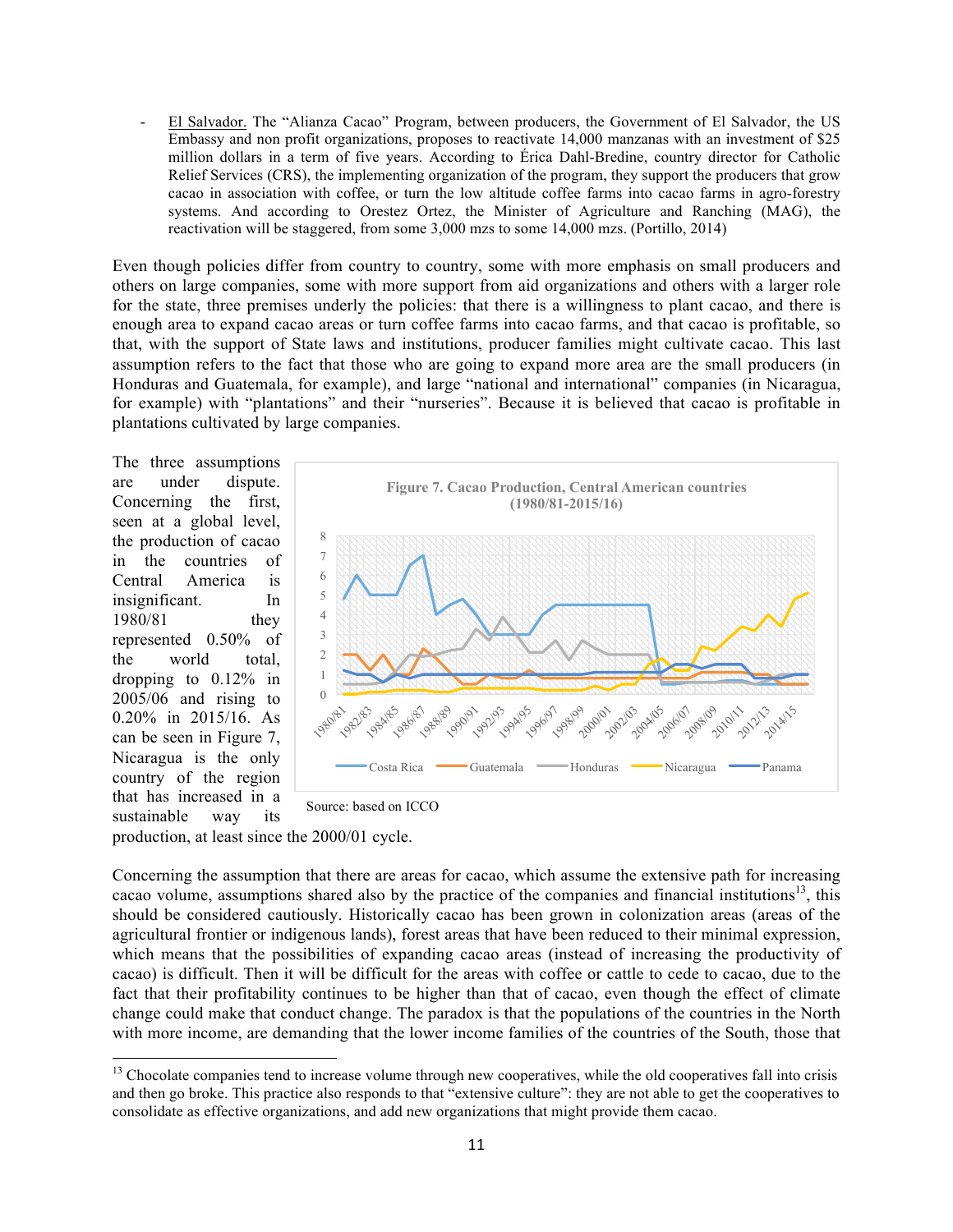- El Salvador. The "Alianza Cacao" Program, between producers, the Government of El Salvador, the US Embassy and non profit organizations, proposes to reactivate 14,000 manzanas with an investment of \$25 million dollars in a term of five years. According to Érica Dahl-Bredine, country director for Catholic Relief Services (CRS), the implementing organization of the program, they support the producers that grow cacao in association with coffee, or turn the low altitude coffee farms into cacao farms in agro-forestry systems. And according to Orestez Ortez, the Minister of Agriculture and Ranching (MAG), the reactivation will be staggered, from some 3,000 mzs to some 14,000 mzs. (Portillo, 2014)

Even though policies differ from country to country, some with more emphasis on small producers and others on large companies, some with more support from aid organizations and others with a larger role for the state, three premises underly the policies: that there is a willingness to plant cacao, and there is enough area to expand cacao areas or turn coffee farms into cacao farms, and that cacao is profitable, so that, with the support of State laws and institutions, producer families might cultivate cacao. This last assumption refers to the fact that those who are going to expand more area are the small producers (in Honduras and Guatemala, for example), and large "national and international" companies (in Nicaragua, for example) with "plantations" and their "nurseries". Because it is believed that cacao is profitable in plantations cultivated by large companies.

The three assumptions are under dispute. Concerning the first, seen at a global level, the production of cacao in the countries of Central America is insignificant. In 1980/81 they represented 0.50% of the world total, dropping to 0.12% in 2005/06 and rising to 0.20% in 2015/16. As can be seen in Figure 7, Nicaragua is the only country of the region that has increased in a sustainable way its



Source: based on ICCO

production, at least since the 2000/01 cycle.

 

Concerning the assumption that there are areas for cacao, which assume the extensive path for increasing cacao volume, assumptions shared also by the practice of the companies and financial institutions<sup>13</sup>, this should be considered cautiously. Historically cacao has been grown in colonization areas (areas of the agricultural frontier or indigenous lands), forest areas that have been reduced to their minimal expression, which means that the possibilities of expanding cacao areas (instead of increasing the productivity of cacao) is difficult. Then it will be difficult for the areas with coffee or cattle to cede to cacao, due to the fact that their profitability continues to be higher than that of cacao, even though the effect of climate change could make that conduct change. The paradox is that the populations of the countries in the North with more income, are demanding that the lower income families of the countries of the South, those that

<sup>&</sup>lt;sup>13</sup> Chocolate companies tend to increase volume through new cooperatives, while the old cooperatives fall into crisis and then go broke. This practice also responds to that "extensive culture": they are not able to get the cooperatives to consolidate as effective organizations, and add new organizations that might provide them cacao.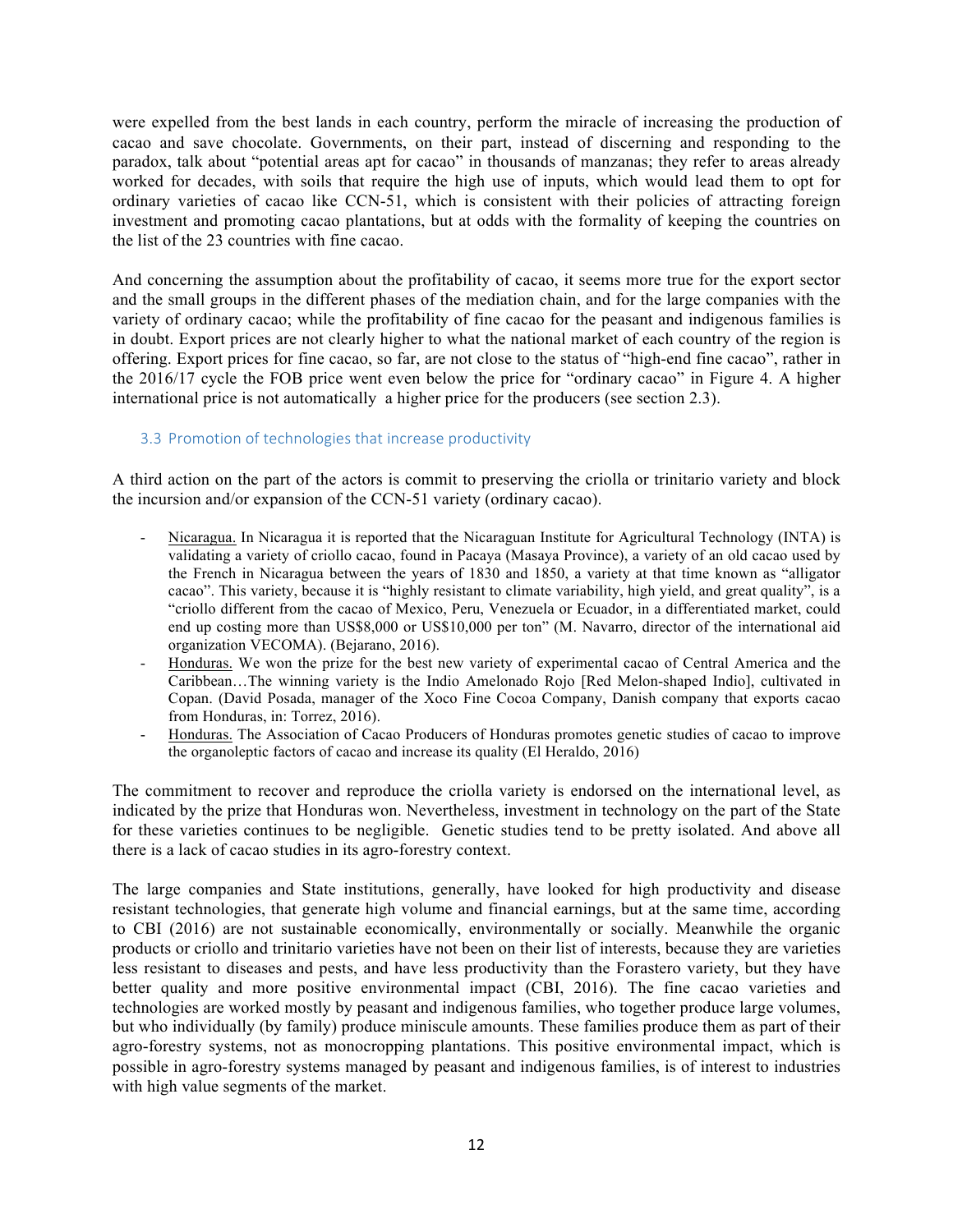were expelled from the best lands in each country, perform the miracle of increasing the production of cacao and save chocolate. Governments, on their part, instead of discerning and responding to the paradox, talk about "potential areas apt for cacao" in thousands of manzanas; they refer to areas already worked for decades, with soils that require the high use of inputs, which would lead them to opt for ordinary varieties of cacao like CCN-51, which is consistent with their policies of attracting foreign investment and promoting cacao plantations, but at odds with the formality of keeping the countries on the list of the 23 countries with fine cacao.

And concerning the assumption about the profitability of cacao, it seems more true for the export sector and the small groups in the different phases of the mediation chain, and for the large companies with the variety of ordinary cacao; while the profitability of fine cacao for the peasant and indigenous families is in doubt. Export prices are not clearly higher to what the national market of each country of the region is offering. Export prices for fine cacao, so far, are not close to the status of "high-end fine cacao", rather in the 2016/17 cycle the FOB price went even below the price for "ordinary cacao" in Figure 4. A higher international price is not automatically a higher price for the producers (see section 2.3).

# 3.3 Promotion of technologies that increase productivity

A third action on the part of the actors is commit to preserving the criolla or trinitario variety and block the incursion and/or expansion of the CCN-51 variety (ordinary cacao).

- Nicaragua. In Nicaragua it is reported that the Nicaraguan Institute for Agricultural Technology (INTA) is validating a variety of criollo cacao, found in Pacaya (Masaya Province), a variety of an old cacao used by the French in Nicaragua between the years of 1830 and 1850, a variety at that time known as "alligator cacao". This variety, because it is "highly resistant to climate variability, high yield, and great quality", is a "criollo different from the cacao of Mexico, Peru, Venezuela or Ecuador, in a differentiated market, could end up costing more than US\$8,000 or US\$10,000 per ton" (M. Navarro, director of the international aid organization VECOMA). (Bejarano, 2016).
- Honduras. We won the prize for the best new variety of experimental cacao of Central America and the Caribbean…The winning variety is the Indio Amelonado Rojo [Red Melon-shaped Indio], cultivated in Copan. (David Posada, manager of the Xoco Fine Cocoa Company, Danish company that exports cacao from Honduras, in: Torrez, 2016).
- Honduras. The Association of Cacao Producers of Honduras promotes genetic studies of cacao to improve the organoleptic factors of cacao and increase its quality (El Heraldo, 2016)

The commitment to recover and reproduce the criolla variety is endorsed on the international level, as indicated by the prize that Honduras won. Nevertheless, investment in technology on the part of the State for these varieties continues to be negligible. Genetic studies tend to be pretty isolated. And above all there is a lack of cacao studies in its agro-forestry context.

The large companies and State institutions, generally, have looked for high productivity and disease resistant technologies, that generate high volume and financial earnings, but at the same time, according to CBI (2016) are not sustainable economically, environmentally or socially. Meanwhile the organic products or criollo and trinitario varieties have not been on their list of interests, because they are varieties less resistant to diseases and pests, and have less productivity than the Forastero variety, but they have better quality and more positive environmental impact (CBI, 2016). The fine cacao varieties and technologies are worked mostly by peasant and indigenous families, who together produce large volumes, but who individually (by family) produce miniscule amounts. These families produce them as part of their agro-forestry systems, not as monocropping plantations. This positive environmental impact, which is possible in agro-forestry systems managed by peasant and indigenous families, is of interest to industries with high value segments of the market.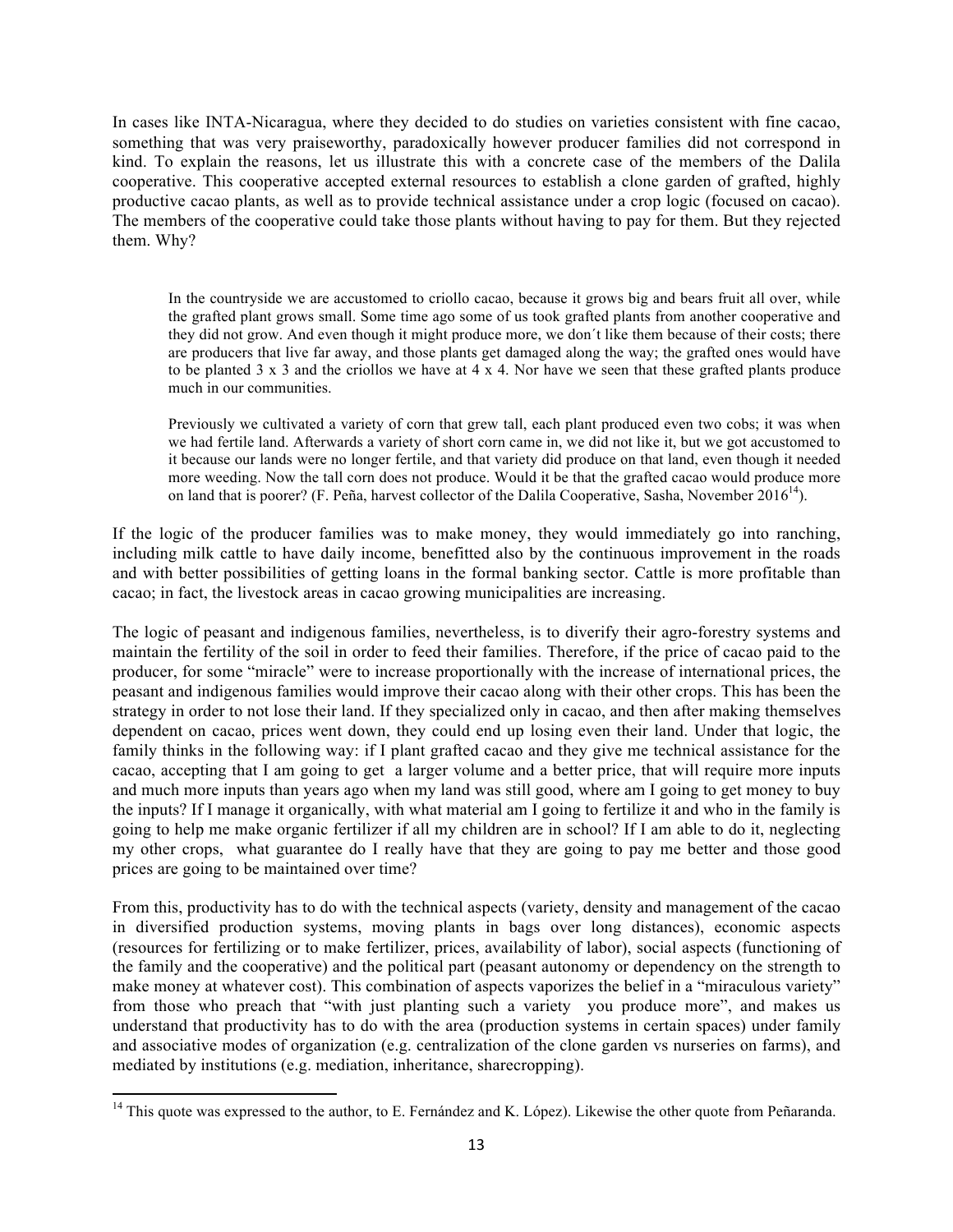In cases like INTA-Nicaragua, where they decided to do studies on varieties consistent with fine cacao, something that was very praiseworthy, paradoxically however producer families did not correspond in kind. To explain the reasons, let us illustrate this with a concrete case of the members of the Dalila cooperative. This cooperative accepted external resources to establish a clone garden of grafted, highly productive cacao plants, as well as to provide technical assistance under a crop logic (focused on cacao). The members of the cooperative could take those plants without having to pay for them. But they rejected them. Why?

In the countryside we are accustomed to criollo cacao, because it grows big and bears fruit all over, while the grafted plant grows small. Some time ago some of us took grafted plants from another cooperative and they did not grow. And even though it might produce more, we don´t like them because of their costs; there are producers that live far away, and those plants get damaged along the way; the grafted ones would have to be planted  $3 \times 3$  and the criollos we have at  $4 \times 4$ . Nor have we seen that these grafted plants produce much in our communities.

Previously we cultivated a variety of corn that grew tall, each plant produced even two cobs; it was when we had fertile land. Afterwards a variety of short corn came in, we did not like it, but we got accustomed to it because our lands were no longer fertile, and that variety did produce on that land, even though it needed more weeding. Now the tall corn does not produce. Would it be that the grafted cacao would produce more on land that is poorer? (F. Peña, harvest collector of the Dalila Cooperative, Sasha, November 2016<sup>14</sup>).

If the logic of the producer families was to make money, they would immediately go into ranching, including milk cattle to have daily income, benefitted also by the continuous improvement in the roads and with better possibilities of getting loans in the formal banking sector. Cattle is more profitable than cacao; in fact, the livestock areas in cacao growing municipalities are increasing.

The logic of peasant and indigenous families, nevertheless, is to diverify their agro-forestry systems and maintain the fertility of the soil in order to feed their families. Therefore, if the price of cacao paid to the producer, for some "miracle" were to increase proportionally with the increase of international prices, the peasant and indigenous families would improve their cacao along with their other crops. This has been the strategy in order to not lose their land. If they specialized only in cacao, and then after making themselves dependent on cacao, prices went down, they could end up losing even their land. Under that logic, the family thinks in the following way: if I plant grafted cacao and they give me technical assistance for the cacao, accepting that I am going to get a larger volume and a better price, that will require more inputs and much more inputs than years ago when my land was still good, where am I going to get money to buy the inputs? If I manage it organically, with what material am I going to fertilize it and who in the family is going to help me make organic fertilizer if all my children are in school? If I am able to do it, neglecting my other crops, what guarantee do I really have that they are going to pay me better and those good prices are going to be maintained over time?

From this, productivity has to do with the technical aspects (variety, density and management of the cacao in diversified production systems, moving plants in bags over long distances), economic aspects (resources for fertilizing or to make fertilizer, prices, availability of labor), social aspects (functioning of the family and the cooperative) and the political part (peasant autonomy or dependency on the strength to make money at whatever cost). This combination of aspects vaporizes the belief in a "miraculous variety" from those who preach that "with just planting such a variety you produce more", and makes us understand that productivity has to do with the area (production systems in certain spaces) under family and associative modes of organization (e.g. centralization of the clone garden vs nurseries on farms), and mediated by institutions (e.g. mediation, inheritance, sharecropping).

<sup>&</sup>lt;sup>14</sup> This quote was expressed to the author, to E. Fernández and K. López). Likewise the other quote from Peñaranda.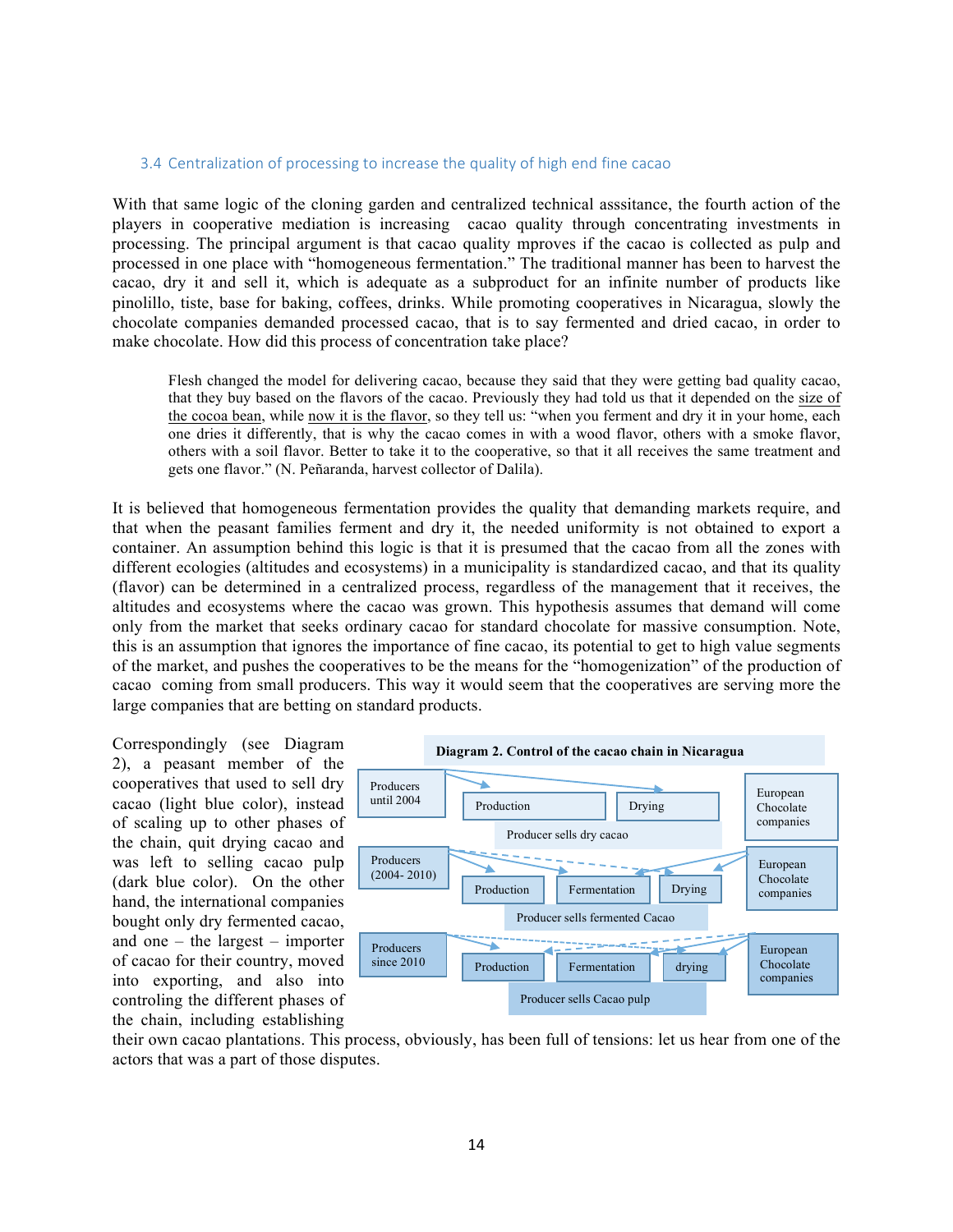### 3.4 Centralization of processing to increase the quality of high end fine cacao

With that same logic of the cloning garden and centralized technical asssitance, the fourth action of the players in cooperative mediation is increasing cacao quality through concentrating investments in processing. The principal argument is that cacao quality mproves if the cacao is collected as pulp and processed in one place with "homogeneous fermentation." The traditional manner has been to harvest the cacao, dry it and sell it, which is adequate as a subproduct for an infinite number of products like pinolillo, tiste, base for baking, coffees, drinks. While promoting cooperatives in Nicaragua, slowly the chocolate companies demanded processed cacao, that is to say fermented and dried cacao, in order to make chocolate. How did this process of concentration take place?

Flesh changed the model for delivering cacao, because they said that they were getting bad quality cacao, that they buy based on the flavors of the cacao. Previously they had told us that it depended on the size of the cocoa bean, while now it is the flavor, so they tell us: "when you ferment and dry it in your home, each one dries it differently, that is why the cacao comes in with a wood flavor, others with a smoke flavor, others with a soil flavor. Better to take it to the cooperative, so that it all receives the same treatment and gets one flavor." (N. Peñaranda, harvest collector of Dalila).

It is believed that homogeneous fermentation provides the quality that demanding markets require, and that when the peasant families ferment and dry it, the needed uniformity is not obtained to export a container. An assumption behind this logic is that it is presumed that the cacao from all the zones with different ecologies (altitudes and ecosystems) in a municipality is standardized cacao, and that its quality (flavor) can be determined in a centralized process, regardless of the management that it receives, the altitudes and ecosystems where the cacao was grown. This hypothesis assumes that demand will come only from the market that seeks ordinary cacao for standard chocolate for massive consumption. Note, this is an assumption that ignores the importance of fine cacao, its potential to get to high value segments of the market, and pushes the cooperatives to be the means for the "homogenization" of the production of cacao coming from small producers. This way it would seem that the cooperatives are serving more the large companies that are betting on standard products.

Correspondingly (see Diagram 2), a peasant member of the cooperatives that used to sell dry cacao (light blue color), instead of scaling up to other phases of the chain, quit drying cacao and was left to selling cacao pulp (dark blue color). On the other hand, the international companies bought only dry fermented cacao, and one – the largest – importer of cacao for their country, moved into exporting, and also into controling the different phases of the chain, including establishing



their own cacao plantations. This process, obviously, has been full of tensions: let us hear from one of the actors that was a part of those disputes.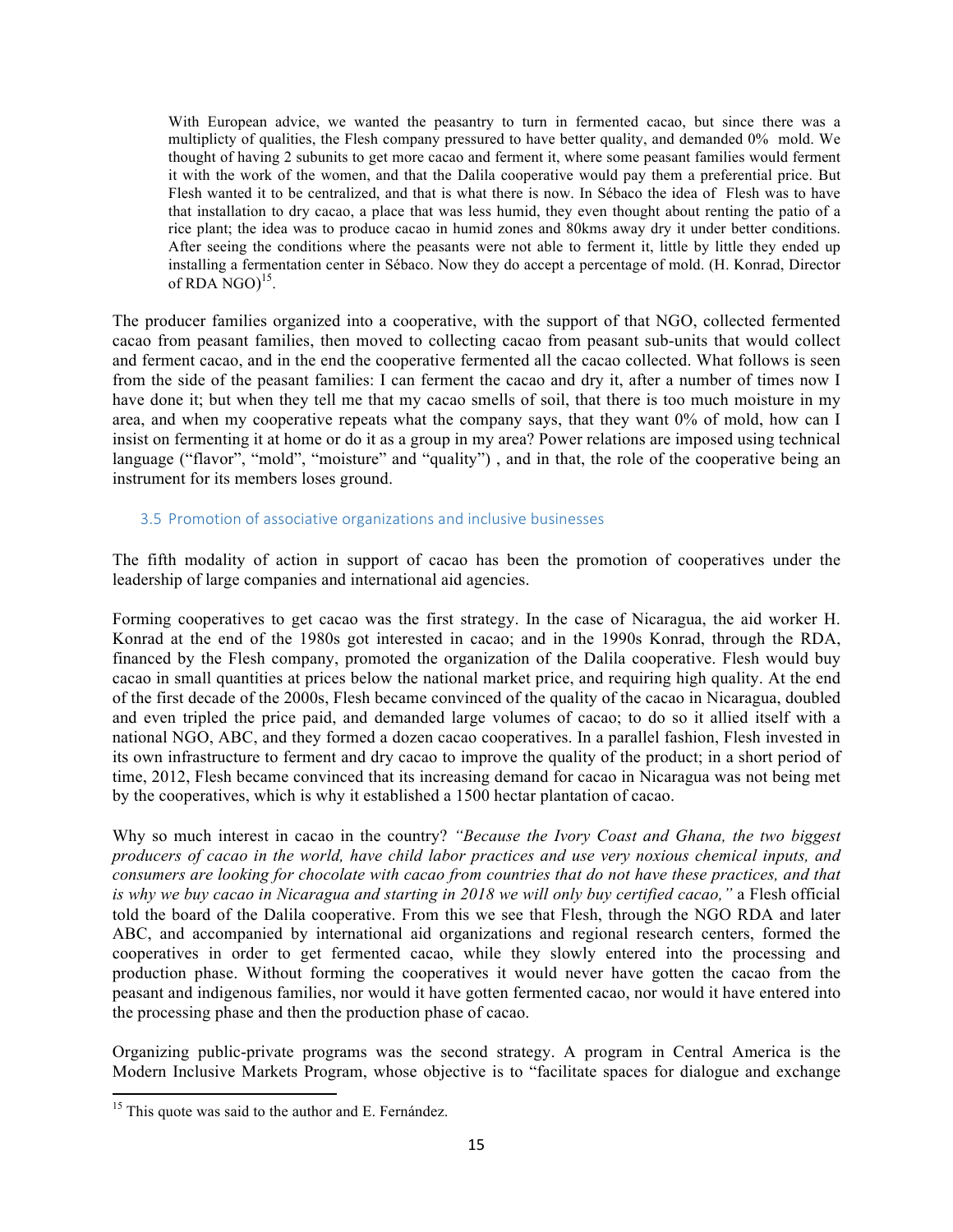With European advice, we wanted the peasantry to turn in fermented cacao, but since there was a multiplicty of qualities, the Flesh company pressured to have better quality, and demanded 0% mold. We thought of having 2 subunits to get more cacao and ferment it, where some peasant families would ferment it with the work of the women, and that the Dalila cooperative would pay them a preferential price. But Flesh wanted it to be centralized, and that is what there is now. In Sébaco the idea of Flesh was to have that installation to dry cacao, a place that was less humid, they even thought about renting the patio of a rice plant; the idea was to produce cacao in humid zones and 80kms away dry it under better conditions. After seeing the conditions where the peasants were not able to ferment it, little by little they ended up installing a fermentation center in Sébaco. Now they do accept a percentage of mold. (H. Konrad, Director of RDA  $NGO$ <sup>15</sup>.

The producer families organized into a cooperative, with the support of that NGO, collected fermented cacao from peasant families, then moved to collecting cacao from peasant sub-units that would collect and ferment cacao, and in the end the cooperative fermented all the cacao collected. What follows is seen from the side of the peasant families: I can ferment the cacao and dry it, after a number of times now I have done it; but when they tell me that my cacao smells of soil, that there is too much moisture in my area, and when my cooperative repeats what the company says, that they want 0% of mold, how can I insist on fermenting it at home or do it as a group in my area? Power relations are imposed using technical language ("flavor", "mold", "moisture" and "quality"), and in that, the role of the cooperative being an instrument for its members loses ground.

## 3.5 Promotion of associative organizations and inclusive businesses

The fifth modality of action in support of cacao has been the promotion of cooperatives under the leadership of large companies and international aid agencies.

Forming cooperatives to get cacao was the first strategy. In the case of Nicaragua, the aid worker H. Konrad at the end of the 1980s got interested in cacao; and in the 1990s Konrad, through the RDA, financed by the Flesh company, promoted the organization of the Dalila cooperative. Flesh would buy cacao in small quantities at prices below the national market price, and requiring high quality. At the end of the first decade of the 2000s, Flesh became convinced of the quality of the cacao in Nicaragua, doubled and even tripled the price paid, and demanded large volumes of cacao; to do so it allied itself with a national NGO, ABC, and they formed a dozen cacao cooperatives. In a parallel fashion, Flesh invested in its own infrastructure to ferment and dry cacao to improve the quality of the product; in a short period of time, 2012, Flesh became convinced that its increasing demand for cacao in Nicaragua was not being met by the cooperatives, which is why it established a 1500 hectar plantation of cacao.

Why so much interest in cacao in the country? *"Because the Ivory Coast and Ghana, the two biggest producers of cacao in the world, have child labor practices and use very noxious chemical inputs, and consumers are looking for chocolate with cacao from countries that do not have these practices, and that is why we buy cacao in Nicaragua and starting in 2018 we will only buy certified cacao,"* a Flesh official told the board of the Dalila cooperative. From this we see that Flesh, through the NGO RDA and later ABC, and accompanied by international aid organizations and regional research centers, formed the cooperatives in order to get fermented cacao, while they slowly entered into the processing and production phase. Without forming the cooperatives it would never have gotten the cacao from the peasant and indigenous families, nor would it have gotten fermented cacao, nor would it have entered into the processing phase and then the production phase of cacao.

Organizing public-private programs was the second strategy. A program in Central America is the Modern Inclusive Markets Program, whose objective is to "facilitate spaces for dialogue and exchange

<sup>&</sup>lt;sup>15</sup> This quote was said to the author and E. Fernández.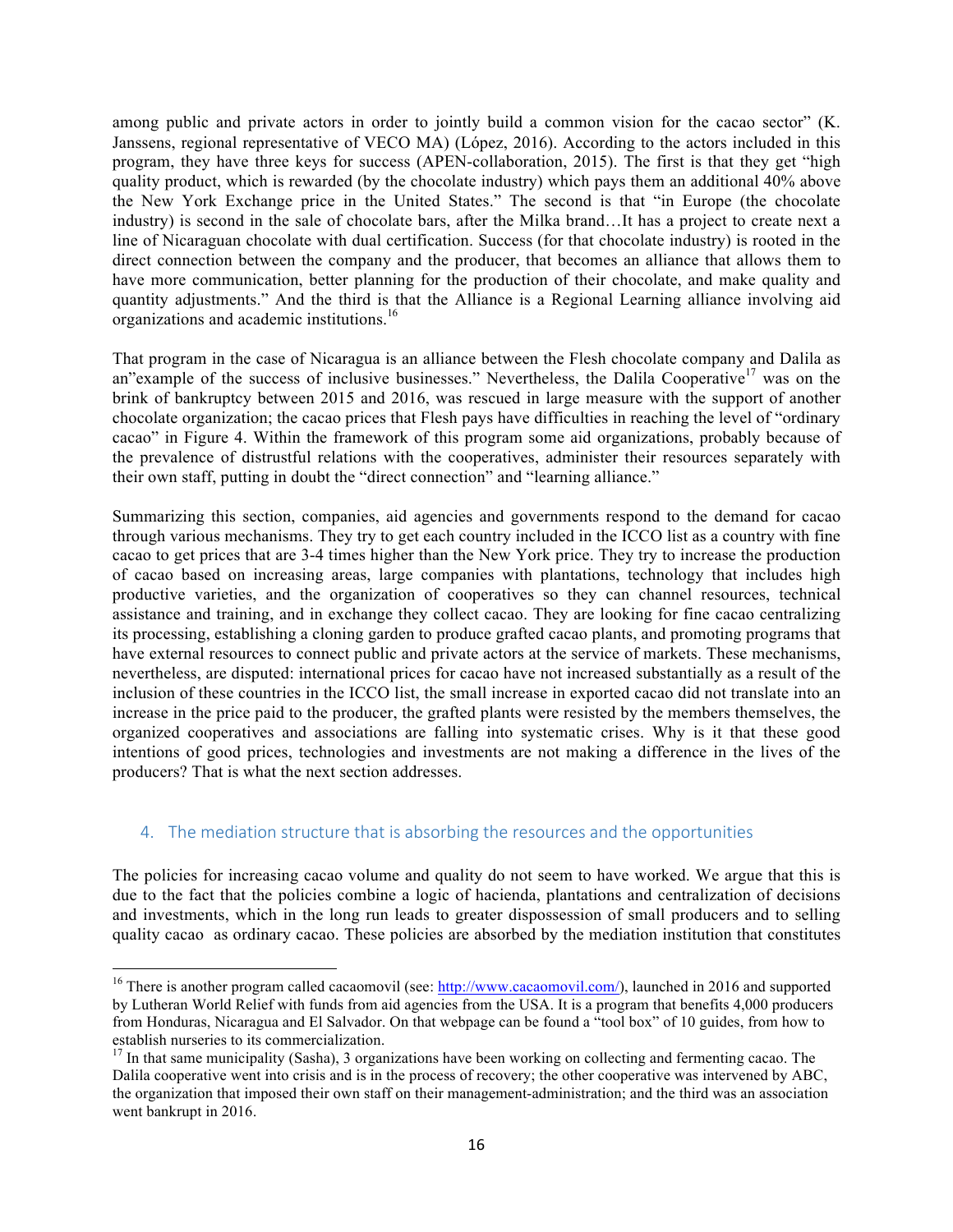among public and private actors in order to jointly build a common vision for the cacao sector" (K. Janssens, regional representative of VECO MA) (López, 2016). According to the actors included in this program, they have three keys for success (APEN-collaboration, 2015). The first is that they get "high quality product, which is rewarded (by the chocolate industry) which pays them an additional 40% above the New York Exchange price in the United States." The second is that "in Europe (the chocolate industry) is second in the sale of chocolate bars, after the Milka brand…It has a project to create next a line of Nicaraguan chocolate with dual certification. Success (for that chocolate industry) is rooted in the direct connection between the company and the producer, that becomes an alliance that allows them to have more communication, better planning for the production of their chocolate, and make quality and quantity adjustments." And the third is that the Alliance is a Regional Learning alliance involving aid organizations and academic institutions.<sup>16</sup>

That program in the case of Nicaragua is an alliance between the Flesh chocolate company and Dalila as an"example of the success of inclusive businesses." Nevertheless, the Dalila Cooperative<sup>17</sup> was on the brink of bankruptcy between 2015 and 2016, was rescued in large measure with the support of another chocolate organization; the cacao prices that Flesh pays have difficulties in reaching the level of "ordinary cacao" in Figure 4. Within the framework of this program some aid organizations, probably because of the prevalence of distrustful relations with the cooperatives, administer their resources separately with their own staff, putting in doubt the "direct connection" and "learning alliance."

Summarizing this section, companies, aid agencies and governments respond to the demand for cacao through various mechanisms. They try to get each country included in the ICCO list as a country with fine cacao to get prices that are 3-4 times higher than the New York price. They try to increase the production of cacao based on increasing areas, large companies with plantations, technology that includes high productive varieties, and the organization of cooperatives so they can channel resources, technical assistance and training, and in exchange they collect cacao. They are looking for fine cacao centralizing its processing, establishing a cloning garden to produce grafted cacao plants, and promoting programs that have external resources to connect public and private actors at the service of markets. These mechanisms, nevertheless, are disputed: international prices for cacao have not increased substantially as a result of the inclusion of these countries in the ICCO list, the small increase in exported cacao did not translate into an increase in the price paid to the producer, the grafted plants were resisted by the members themselves, the organized cooperatives and associations are falling into systematic crises. Why is it that these good intentions of good prices, technologies and investments are not making a difference in the lives of the producers? That is what the next section addresses.

# 4. The mediation structure that is absorbing the resources and the opportunities

 

The policies for increasing cacao volume and quality do not seem to have worked. We argue that this is due to the fact that the policies combine a logic of hacienda, plantations and centralization of decisions and investments, which in the long run leads to greater dispossession of small producers and to selling quality cacao as ordinary cacao. These policies are absorbed by the mediation institution that constitutes

<sup>&</sup>lt;sup>16</sup> There is another program called cacaomovil (see: http://www.cacaomovil.com/), launched in 2016 and supported by Lutheran World Relief with funds from aid agencies from the USA. It is a program that benefits 4,000 producers from Honduras, Nicaragua and El Salvador. On that webpage can be found a "tool box" of 10 guides, from how to establish nurseries to its commercialization.<br><sup>17</sup> In that same municipality (Sasha), 3 organizations have been working on collecting and fermenting cacao. The

Dalila cooperative went into crisis and is in the process of recovery; the other cooperative was intervened by ABC, the organization that imposed their own staff on their management-administration; and the third was an association went bankrupt in 2016.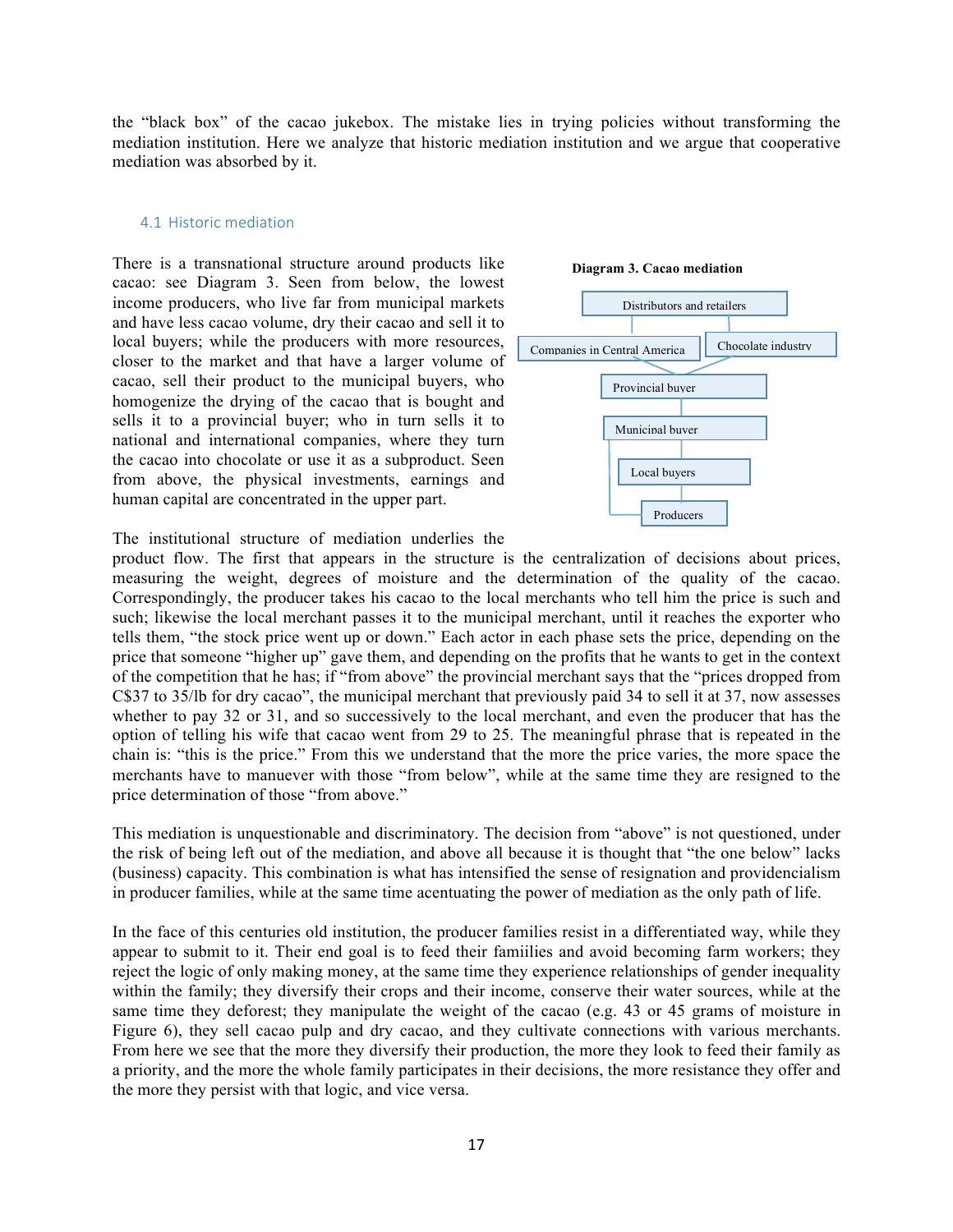the "black box" of the cacao jukebox. The mistake lies in trying policies without transforming the mediation institution. Here we analyze that historic mediation institution and we argue that cooperative mediation was absorbed by it.

### 4.1 Historic mediation

There is a transnational structure around products like cacao: see Diagram 3. Seen from below, the lowest income producers, who live far from municipal markets and have less cacao volume, dry their cacao and sell it to local buyers; while the producers with more resources, closer to the market and that have a larger volume of cacao, sell their product to the municipal buyers, who homogenize the drying of the cacao that is bought and sells it to a provincial buyer; who in turn sells it to national and international companies, where they turn the cacao into chocolate or use it as a subproduct. Seen from above, the physical investments, earnings and human capital are concentrated in the upper part.



The institutional structure of mediation underlies the

product flow. The first that appears in the structure is the centralization of decisions about prices, measuring the weight, degrees of moisture and the determination of the quality of the cacao. Correspondingly, the producer takes his cacao to the local merchants who tell him the price is such and such; likewise the local merchant passes it to the municipal merchant, until it reaches the exporter who tells them, "the stock price went up or down." Each actor in each phase sets the price, depending on the price that someone "higher up" gave them, and depending on the profits that he wants to get in the context of the competition that he has; if "from above" the provincial merchant says that the "prices dropped from C\$37 to 35/lb for dry cacao", the municipal merchant that previously paid 34 to sell it at 37, now assesses whether to pay 32 or 31, and so successively to the local merchant, and even the producer that has the option of telling his wife that cacao went from 29 to 25. The meaningful phrase that is repeated in the chain is: "this is the price." From this we understand that the more the price varies, the more space the merchants have to manuever with those "from below", while at the same time they are resigned to the price determination of those "from above."

This mediation is unquestionable and discriminatory. The decision from "above" is not questioned, under the risk of being left out of the mediation, and above all because it is thought that "the one below" lacks (business) capacity. This combination is what has intensified the sense of resignation and providencialism in producer families, while at the same time acentuating the power of mediation as the only path of life.

In the face of this centuries old institution, the producer families resist in a differentiated way, while they appear to submit to it. Their end goal is to feed their famiilies and avoid becoming farm workers; they reject the logic of only making money, at the same time they experience relationships of gender inequality within the family; they diversify their crops and their income, conserve their water sources, while at the same time they deforest; they manipulate the weight of the cacao (e.g. 43 or 45 grams of moisture in Figure 6), they sell cacao pulp and dry cacao, and they cultivate connections with various merchants. From here we see that the more they diversify their production, the more they look to feed their family as a priority, and the more the whole family participates in their decisions, the more resistance they offer and the more they persist with that logic, and vice versa.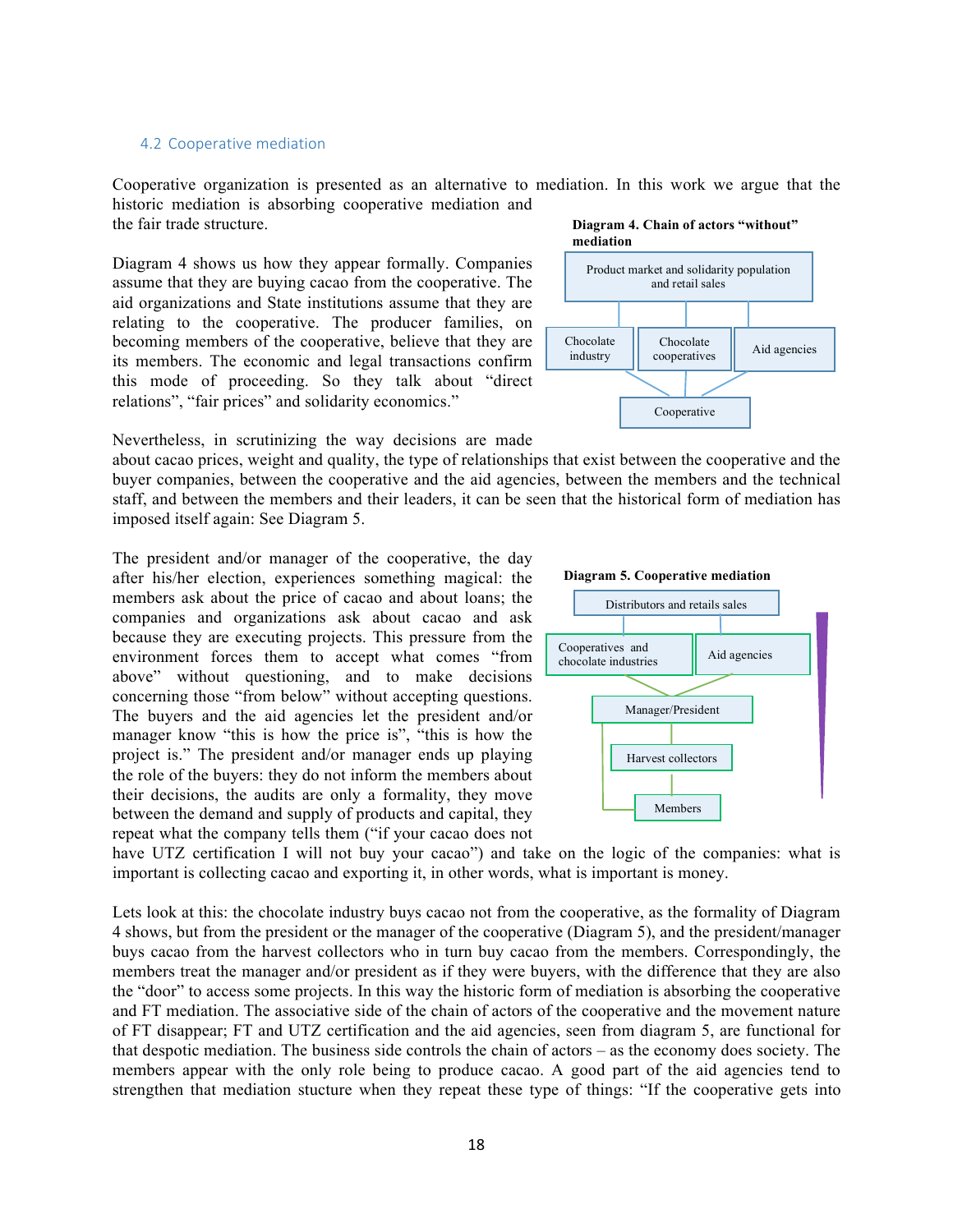### 4.2 Cooperative mediation

Cooperative organization is presented as an alternative to mediation. In this work we argue that the historic mediation is absorbing cooperative mediation and the fair trade structure. **Diagram 4. Chain of actors "without"** 

Diagram 4 shows us how they appear formally. Companies assume that they are buying cacao from the cooperative. The aid organizations and State institutions assume that they are relating to the cooperative. The producer families, on becoming members of the cooperative, believe that they are its members. The economic and legal transactions confirm this mode of proceeding. So they talk about "direct relations", "fair prices" and solidarity economics."



Nevertheless, in scrutinizing the way decisions are made

about cacao prices, weight and quality, the type of relationships that exist between the cooperative and the buyer companies, between the cooperative and the aid agencies, between the members and the technical staff, and between the members and their leaders, it can be seen that the historical form of mediation has imposed itself again: See Diagram 5.

The president and/or manager of the cooperative, the day after his/her election, experiences something magical: the members ask about the price of cacao and about loans; the companies and organizations ask about cacao and ask because they are executing projects. This pressure from the environment forces them to accept what comes "from above" without questioning, and to make decisions concerning those "from below" without accepting questions. The buyers and the aid agencies let the president and/or manager know "this is how the price is", "this is how the project is." The president and/or manager ends up playing the role of the buyers: they do not inform the members about their decisions, the audits are only a formality, they move between the demand and supply of products and capital, they repeat what the company tells them ("if your cacao does not





have UTZ certification I will not buy your cacao") and take on the logic of the companies: what is important is collecting cacao and exporting it, in other words, what is important is money.

Lets look at this: the chocolate industry buys cacao not from the cooperative, as the formality of Diagram 4 shows, but from the president or the manager of the cooperative (Diagram 5), and the president/manager buys cacao from the harvest collectors who in turn buy cacao from the members. Correspondingly, the members treat the manager and/or president as if they were buyers, with the difference that they are also the "door" to access some projects. In this way the historic form of mediation is absorbing the cooperative and FT mediation. The associative side of the chain of actors of the cooperative and the movement nature of FT disappear; FT and UTZ certification and the aid agencies, seen from diagram 5, are functional for that despotic mediation. The business side controls the chain of actors – as the economy does society. The members appear with the only role being to produce cacao. A good part of the aid agencies tend to strengthen that mediation stucture when they repeat these type of things: "If the cooperative gets into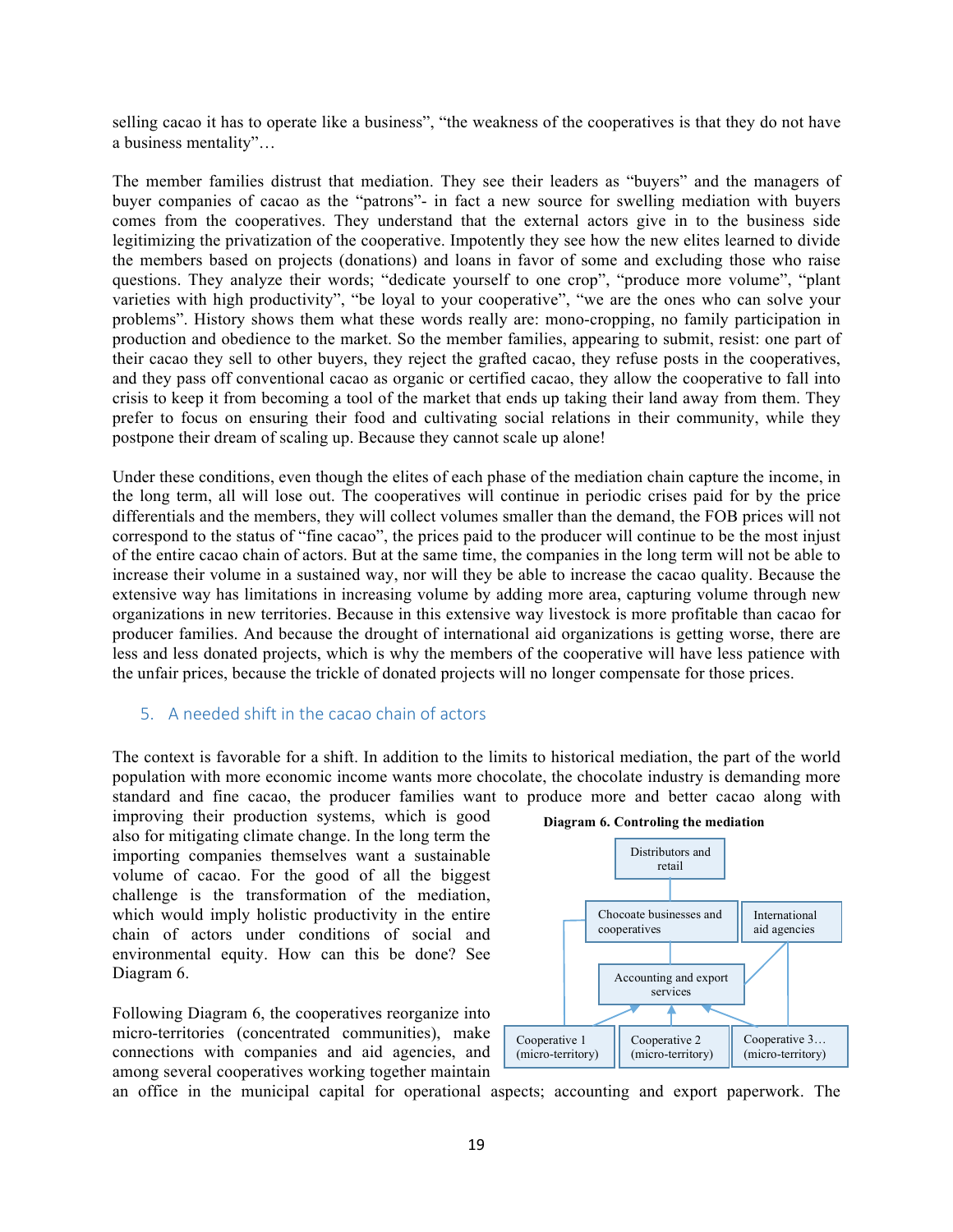selling cacao it has to operate like a business", "the weakness of the cooperatives is that they do not have a business mentality"…

The member families distrust that mediation. They see their leaders as "buyers" and the managers of buyer companies of cacao as the "patrons"- in fact a new source for swelling mediation with buyers comes from the cooperatives. They understand that the external actors give in to the business side legitimizing the privatization of the cooperative. Impotently they see how the new elites learned to divide the members based on projects (donations) and loans in favor of some and excluding those who raise questions. They analyze their words; "dedicate yourself to one crop", "produce more volume", "plant varieties with high productivity", "be loyal to your cooperative", "we are the ones who can solve your problems". History shows them what these words really are: mono-cropping, no family participation in production and obedience to the market. So the member families, appearing to submit, resist: one part of their cacao they sell to other buyers, they reject the grafted cacao, they refuse posts in the cooperatives, and they pass off conventional cacao as organic or certified cacao, they allow the cooperative to fall into crisis to keep it from becoming a tool of the market that ends up taking their land away from them. They prefer to focus on ensuring their food and cultivating social relations in their community, while they postpone their dream of scaling up. Because they cannot scale up alone!

Under these conditions, even though the elites of each phase of the mediation chain capture the income, in the long term, all will lose out. The cooperatives will continue in periodic crises paid for by the price differentials and the members, they will collect volumes smaller than the demand, the FOB prices will not correspond to the status of "fine cacao", the prices paid to the producer will continue to be the most injust of the entire cacao chain of actors. But at the same time, the companies in the long term will not be able to increase their volume in a sustained way, nor will they be able to increase the cacao quality. Because the extensive way has limitations in increasing volume by adding more area, capturing volume through new organizations in new territories. Because in this extensive way livestock is more profitable than cacao for producer families. And because the drought of international aid organizations is getting worse, there are less and less donated projects, which is why the members of the cooperative will have less patience with the unfair prices, because the trickle of donated projects will no longer compensate for those prices.

### 5. A needed shift in the cacao chain of actors

The context is favorable for a shift. In addition to the limits to historical mediation, the part of the world population with more economic income wants more chocolate, the chocolate industry is demanding more standard and fine cacao, the producer families want to produce more and better cacao along with

improving their production systems, which is good also for mitigating climate change. In the long term the importing companies themselves want a sustainable volume of cacao. For the good of all the biggest challenge is the transformation of the mediation, which would imply holistic productivity in the entire chain of actors under conditions of social and environmental equity. How can this be done? See Diagram 6.

Following Diagram 6, the cooperatives reorganize into micro-territories (concentrated communities), make connections with companies and aid agencies, and among several cooperatives working together maintain





an office in the municipal capital for operational aspects; accounting and export paperwork. The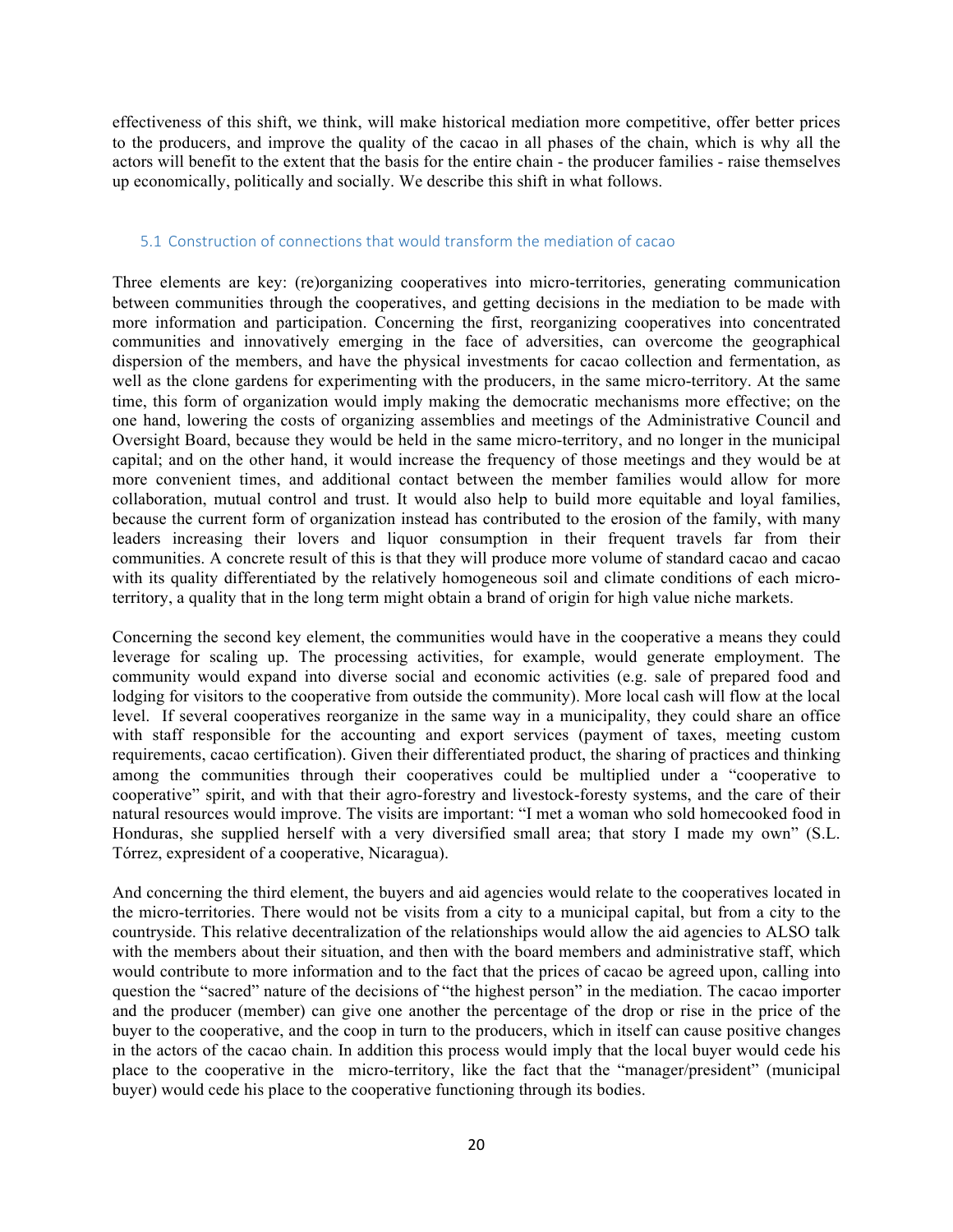effectiveness of this shift, we think, will make historical mediation more competitive, offer better prices to the producers, and improve the quality of the cacao in all phases of the chain, which is why all the actors will benefit to the extent that the basis for the entire chain - the producer families - raise themselves up economically, politically and socially. We describe this shift in what follows.

### 5.1 Construction of connections that would transform the mediation of cacao

Three elements are key: (re)organizing cooperatives into micro-territories, generating communication between communities through the cooperatives, and getting decisions in the mediation to be made with more information and participation. Concerning the first, reorganizing cooperatives into concentrated communities and innovatively emerging in the face of adversities, can overcome the geographical dispersion of the members, and have the physical investments for cacao collection and fermentation, as well as the clone gardens for experimenting with the producers, in the same micro-territory. At the same time, this form of organization would imply making the democratic mechanisms more effective; on the one hand, lowering the costs of organizing assemblies and meetings of the Administrative Council and Oversight Board, because they would be held in the same micro-territory, and no longer in the municipal capital; and on the other hand, it would increase the frequency of those meetings and they would be at more convenient times, and additional contact between the member families would allow for more collaboration, mutual control and trust. It would also help to build more equitable and loyal families, because the current form of organization instead has contributed to the erosion of the family, with many leaders increasing their lovers and liquor consumption in their frequent travels far from their communities. A concrete result of this is that they will produce more volume of standard cacao and cacao with its quality differentiated by the relatively homogeneous soil and climate conditions of each microterritory, a quality that in the long term might obtain a brand of origin for high value niche markets.

Concerning the second key element, the communities would have in the cooperative a means they could leverage for scaling up. The processing activities, for example, would generate employment. The community would expand into diverse social and economic activities (e.g. sale of prepared food and lodging for visitors to the cooperative from outside the community). More local cash will flow at the local level. If several cooperatives reorganize in the same way in a municipality, they could share an office with staff responsible for the accounting and export services (payment of taxes, meeting custom requirements, cacao certification). Given their differentiated product, the sharing of practices and thinking among the communities through their cooperatives could be multiplied under a "cooperative to cooperative" spirit, and with that their agro-forestry and livestock-foresty systems, and the care of their natural resources would improve. The visits are important: "I met a woman who sold homecooked food in Honduras, she supplied herself with a very diversified small area; that story I made my own" (S.L. Tórrez, expresident of a cooperative, Nicaragua).

And concerning the third element, the buyers and aid agencies would relate to the cooperatives located in the micro-territories. There would not be visits from a city to a municipal capital, but from a city to the countryside. This relative decentralization of the relationships would allow the aid agencies to ALSO talk with the members about their situation, and then with the board members and administrative staff, which would contribute to more information and to the fact that the prices of cacao be agreed upon, calling into question the "sacred" nature of the decisions of "the highest person" in the mediation. The cacao importer and the producer (member) can give one another the percentage of the drop or rise in the price of the buyer to the cooperative, and the coop in turn to the producers, which in itself can cause positive changes in the actors of the cacao chain. In addition this process would imply that the local buyer would cede his place to the cooperative in the micro-territory, like the fact that the "manager/president" (municipal buyer) would cede his place to the cooperative functioning through its bodies.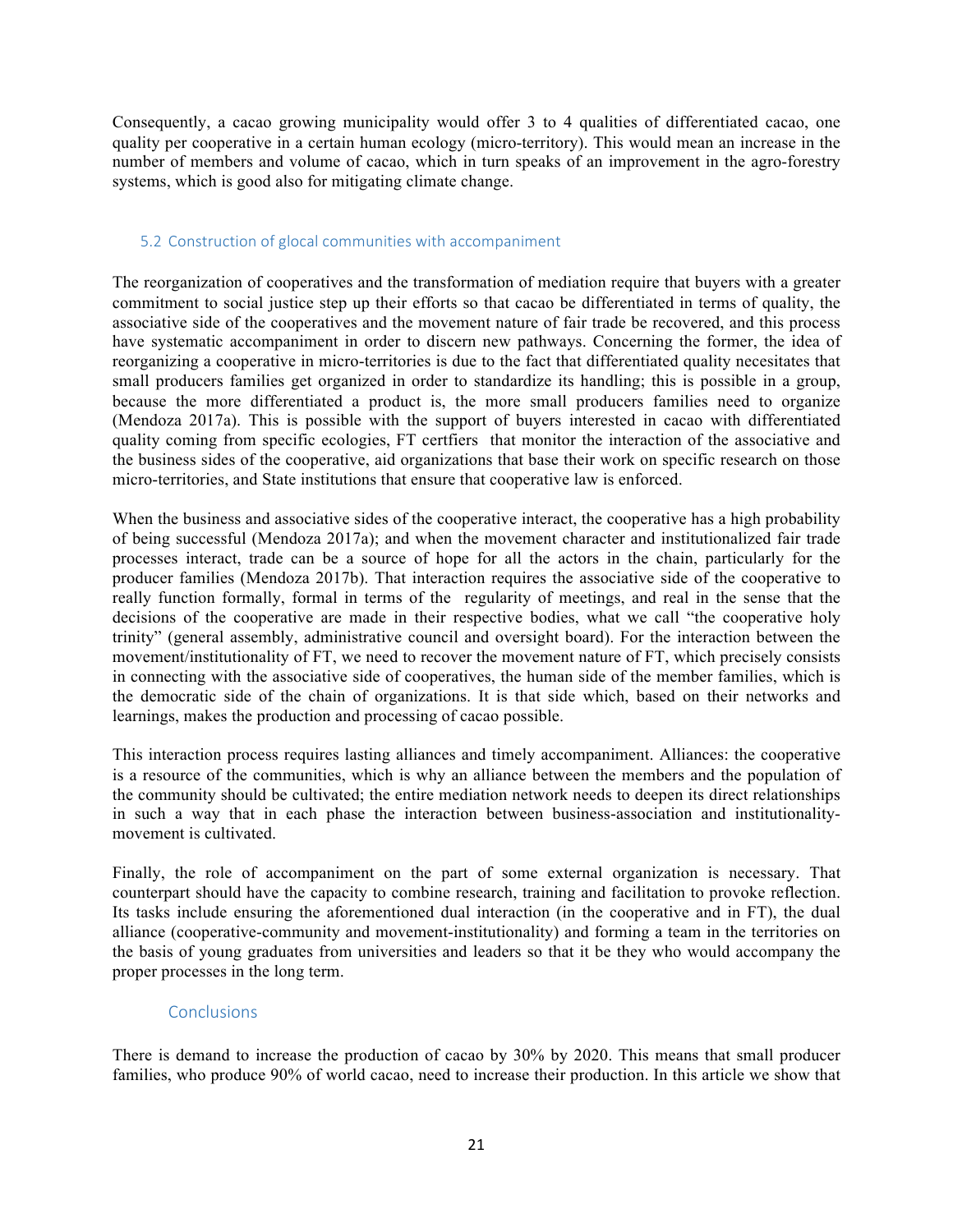Consequently, a cacao growing municipality would offer 3 to 4 qualities of differentiated cacao, one quality per cooperative in a certain human ecology (micro-territory). This would mean an increase in the number of members and volume of cacao, which in turn speaks of an improvement in the agro-forestry systems, which is good also for mitigating climate change.

### 5.2 Construction of glocal communities with accompaniment

The reorganization of cooperatives and the transformation of mediation require that buyers with a greater commitment to social justice step up their efforts so that cacao be differentiated in terms of quality, the associative side of the cooperatives and the movement nature of fair trade be recovered, and this process have systematic accompaniment in order to discern new pathways. Concerning the former, the idea of reorganizing a cooperative in micro-territories is due to the fact that differentiated quality necesitates that small producers families get organized in order to standardize its handling; this is possible in a group, because the more differentiated a product is, the more small producers families need to organize (Mendoza 2017a). This is possible with the support of buyers interested in cacao with differentiated quality coming from specific ecologies, FT certfiers that monitor the interaction of the associative and the business sides of the cooperative, aid organizations that base their work on specific research on those micro-territories, and State institutions that ensure that cooperative law is enforced.

When the business and associative sides of the cooperative interact, the cooperative has a high probability of being successful (Mendoza 2017a); and when the movement character and institutionalized fair trade processes interact, trade can be a source of hope for all the actors in the chain, particularly for the producer families (Mendoza 2017b). That interaction requires the associative side of the cooperative to really function formally, formal in terms of the regularity of meetings, and real in the sense that the decisions of the cooperative are made in their respective bodies, what we call "the cooperative holy trinity" (general assembly, administrative council and oversight board). For the interaction between the movement/institutionality of FT, we need to recover the movement nature of FT, which precisely consists in connecting with the associative side of cooperatives, the human side of the member families, which is the democratic side of the chain of organizations. It is that side which, based on their networks and learnings, makes the production and processing of cacao possible.

This interaction process requires lasting alliances and timely accompaniment. Alliances: the cooperative is a resource of the communities, which is why an alliance between the members and the population of the community should be cultivated; the entire mediation network needs to deepen its direct relationships in such a way that in each phase the interaction between business-association and institutionalitymovement is cultivated.

Finally, the role of accompaniment on the part of some external organization is necessary. That counterpart should have the capacity to combine research, training and facilitation to provoke reflection. Its tasks include ensuring the aforementioned dual interaction (in the cooperative and in FT), the dual alliance (cooperative-community and movement-institutionality) and forming a team in the territories on the basis of young graduates from universities and leaders so that it be they who would accompany the proper processes in the long term.

# **Conclusions**

There is demand to increase the production of cacao by 30% by 2020. This means that small producer families, who produce 90% of world cacao, need to increase their production. In this article we show that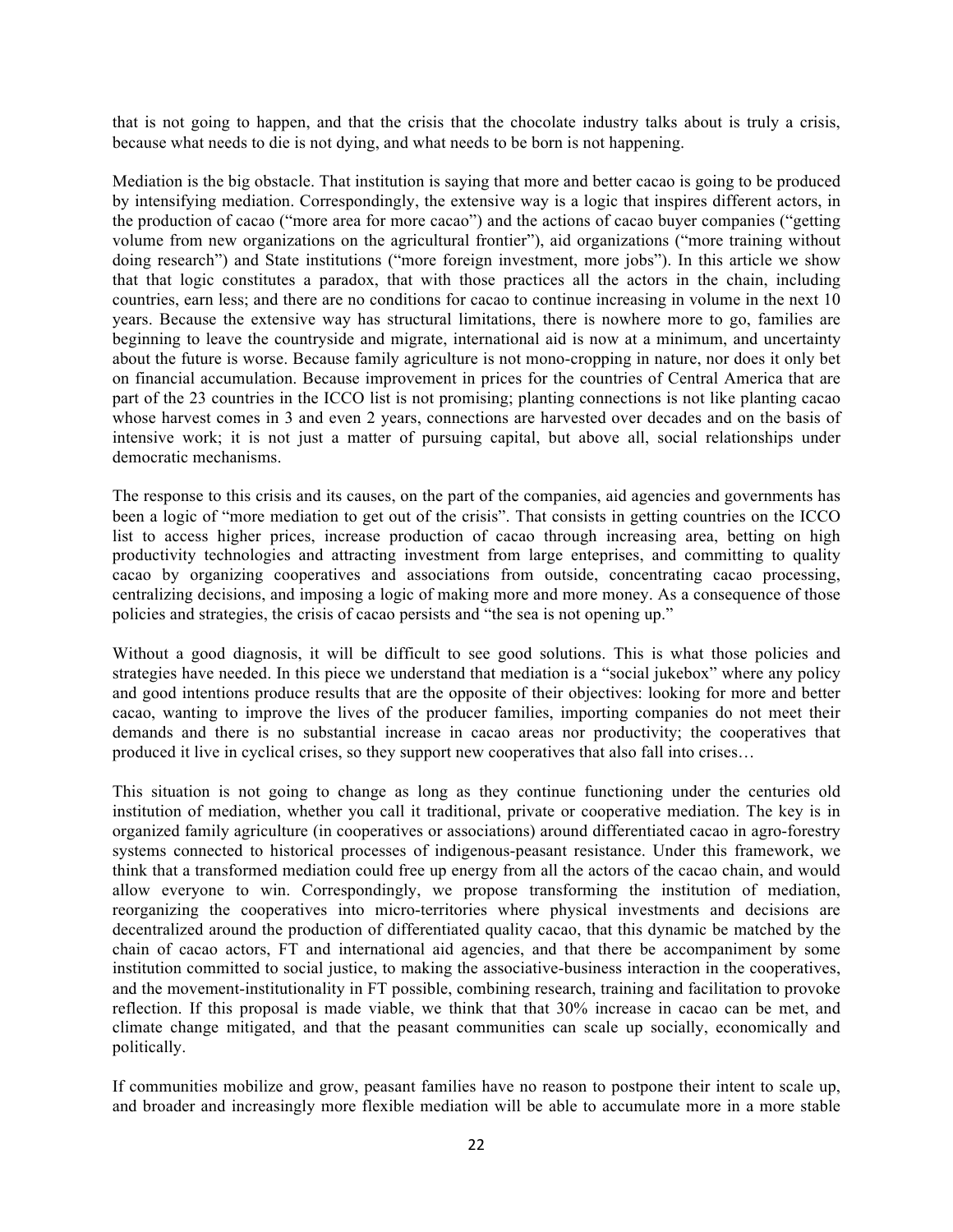that is not going to happen, and that the crisis that the chocolate industry talks about is truly a crisis, because what needs to die is not dying, and what needs to be born is not happening.

Mediation is the big obstacle. That institution is saying that more and better cacao is going to be produced by intensifying mediation. Correspondingly, the extensive way is a logic that inspires different actors, in the production of cacao ("more area for more cacao") and the actions of cacao buyer companies ("getting volume from new organizations on the agricultural frontier"), aid organizations ("more training without doing research") and State institutions ("more foreign investment, more jobs"). In this article we show that that logic constitutes a paradox, that with those practices all the actors in the chain, including countries, earn less; and there are no conditions for cacao to continue increasing in volume in the next 10 years. Because the extensive way has structural limitations, there is nowhere more to go, families are beginning to leave the countryside and migrate, international aid is now at a minimum, and uncertainty about the future is worse. Because family agriculture is not mono-cropping in nature, nor does it only bet on financial accumulation. Because improvement in prices for the countries of Central America that are part of the 23 countries in the ICCO list is not promising; planting connections is not like planting cacao whose harvest comes in 3 and even 2 years, connections are harvested over decades and on the basis of intensive work; it is not just a matter of pursuing capital, but above all, social relationships under democratic mechanisms.

The response to this crisis and its causes, on the part of the companies, aid agencies and governments has been a logic of "more mediation to get out of the crisis". That consists in getting countries on the ICCO list to access higher prices, increase production of cacao through increasing area, betting on high productivity technologies and attracting investment from large enteprises, and committing to quality cacao by organizing cooperatives and associations from outside, concentrating cacao processing, centralizing decisions, and imposing a logic of making more and more money. As a consequence of those policies and strategies, the crisis of cacao persists and "the sea is not opening up."

Without a good diagnosis, it will be difficult to see good solutions. This is what those policies and strategies have needed. In this piece we understand that mediation is a "social jukebox" where any policy and good intentions produce results that are the opposite of their objectives: looking for more and better cacao, wanting to improve the lives of the producer families, importing companies do not meet their demands and there is no substantial increase in cacao areas nor productivity; the cooperatives that produced it live in cyclical crises, so they support new cooperatives that also fall into crises…

This situation is not going to change as long as they continue functioning under the centuries old institution of mediation, whether you call it traditional, private or cooperative mediation. The key is in organized family agriculture (in cooperatives or associations) around differentiated cacao in agro-forestry systems connected to historical processes of indigenous-peasant resistance. Under this framework, we think that a transformed mediation could free up energy from all the actors of the cacao chain, and would allow everyone to win. Correspondingly, we propose transforming the institution of mediation, reorganizing the cooperatives into micro-territories where physical investments and decisions are decentralized around the production of differentiated quality cacao, that this dynamic be matched by the chain of cacao actors, FT and international aid agencies, and that there be accompaniment by some institution committed to social justice, to making the associative-business interaction in the cooperatives, and the movement-institutionality in FT possible, combining research, training and facilitation to provoke reflection. If this proposal is made viable, we think that that 30% increase in cacao can be met, and climate change mitigated, and that the peasant communities can scale up socially, economically and politically.

If communities mobilize and grow, peasant families have no reason to postpone their intent to scale up, and broader and increasingly more flexible mediation will be able to accumulate more in a more stable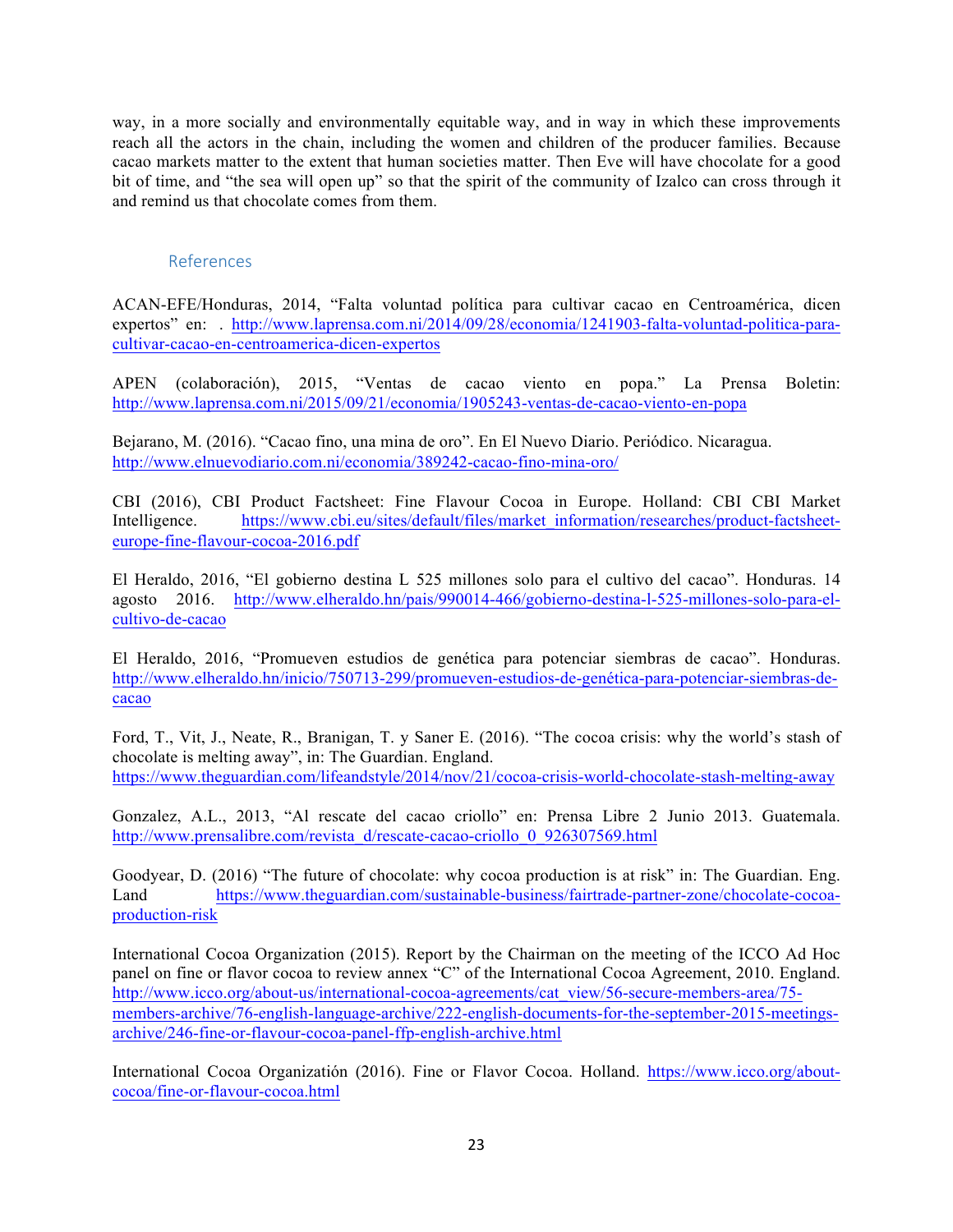way, in a more socially and environmentally equitable way, and in way in which these improvements reach all the actors in the chain, including the women and children of the producer families. Because cacao markets matter to the extent that human societies matter. Then Eve will have chocolate for a good bit of time, and "the sea will open up" so that the spirit of the community of Izalco can cross through it and remind us that chocolate comes from them.

# References

ACAN-EFE/Honduras, 2014, "Falta voluntad política para cultivar cacao en Centroamérica, dicen expertos" en: . http://www.laprensa.com.ni/2014/09/28/economia/1241903-falta-voluntad-politica-paracultivar-cacao-en-centroamerica-dicen-expertos

APEN (colaboración), 2015, "Ventas de cacao viento en popa." La Prensa Boletin: http://www.laprensa.com.ni/2015/09/21/economia/1905243-ventas-de-cacao-viento-en-popa

Bejarano, M. (2016). "Cacao fino, una mina de oro". En El Nuevo Diario. Periódico. Nicaragua. http://www.elnuevodiario.com.ni/economia/389242-cacao-fino-mina-oro/

CBI (2016), CBI Product Factsheet: Fine Flavour Cocoa in Europe. Holland: CBI CBI Market Intelligence. https://www.cbi.eu/sites/default/files/market\_information/researches/product-factsheeteurope-fine-flavour-cocoa-2016.pdf

El Heraldo, 2016, "El gobierno destina L 525 millones solo para el cultivo del cacao". Honduras. 14 agosto 2016. http://www.elheraldo.hn/pais/990014-466/gobierno-destina-l-525-millones-solo-para-elcultivo-de-cacao

El Heraldo, 2016, "Promueven estudios de genética para potenciar siembras de cacao". Honduras. http://www.elheraldo.hn/inicio/750713-299/promueven-estudios-de-genética-para-potenciar-siembras-decacao

Ford, T., Vit, J., Neate, R., Branigan, T. y Saner E. (2016). "The cocoa crisis: why the world's stash of chocolate is melting away", in: The Guardian. England. https://www.theguardian.com/lifeandstyle/2014/nov/21/cocoa-crisis-world-chocolate-stash-melting-away

Gonzalez, A.L., 2013, "Al rescate del cacao criollo" en: Prensa Libre 2 Junio 2013. Guatemala. http://www.prensalibre.com/revista\_d/rescate-cacao-criollo\_0\_926307569.html

Goodyear, D. (2016) "The future of chocolate: why cocoa production is at risk" in: The Guardian. Eng. Land https://www.theguardian.com/sustainable-business/fairtrade-partner-zone/chocolate-cocoaproduction-risk

International Cocoa Organization (2015). Report by the Chairman on the meeting of the ICCO Ad Hoc panel on fine or flavor cocoa to review annex "C" of the International Cocoa Agreement, 2010. England. http://www.icco.org/about-us/international-cocoa-agreements/cat\_view/56-secure-members-area/75members-archive/76-english-language-archive/222-english-documents-for-the-september-2015-meetingsarchive/246-fine-or-flavour-cocoa-panel-ffp-english-archive.html

International Cocoa Organizatión (2016). Fine or Flavor Cocoa. Holland. https://www.icco.org/aboutcocoa/fine-or-flavour-cocoa.html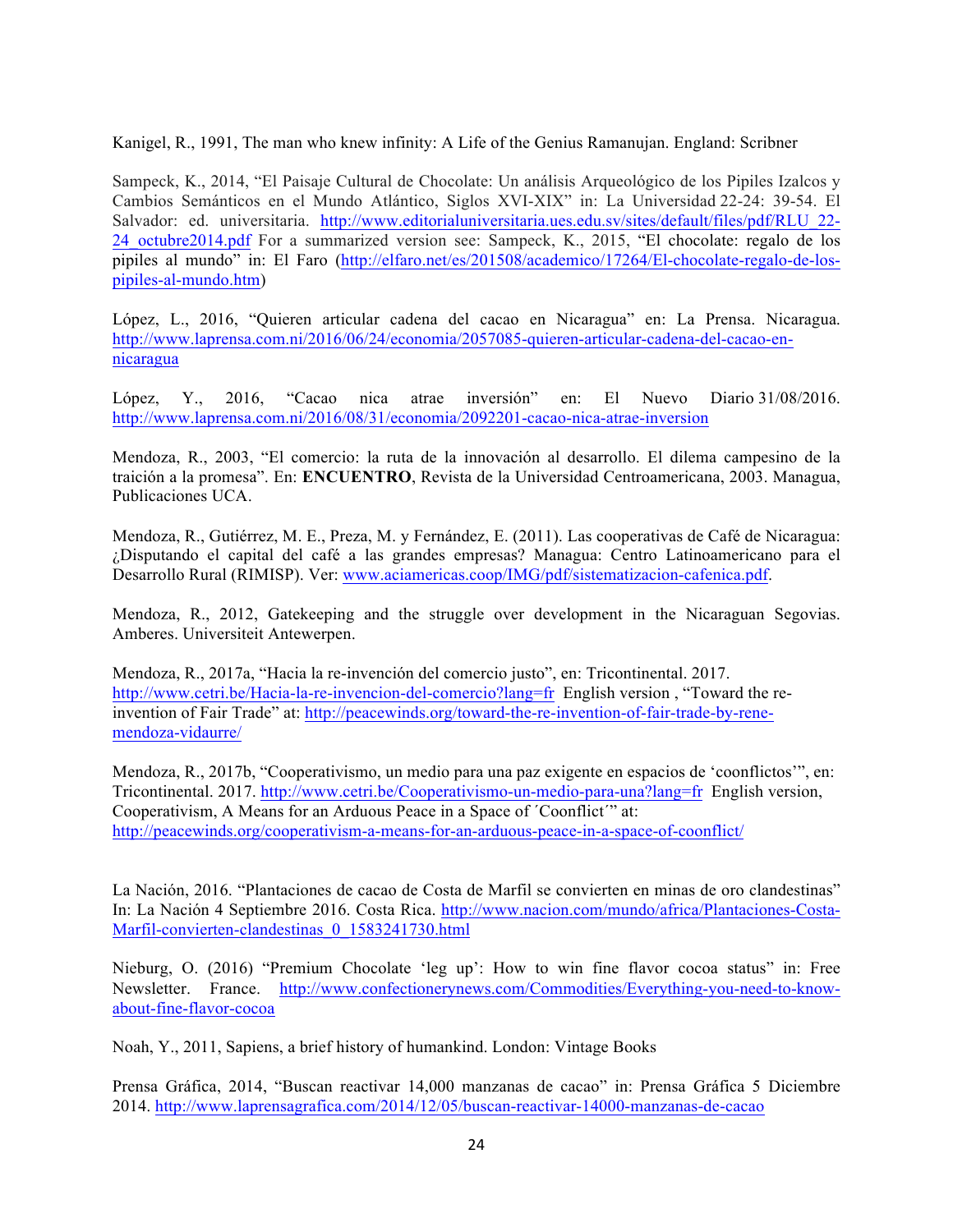Kanigel, R., 1991, The man who knew infinity: A Life of the Genius Ramanujan. England: Scribner

Sampeck, K., 2014, "El Paisaje Cultural de Chocolate: Un análisis Arqueológico de los Pipiles Izalcos y Cambios Semánticos en el Mundo Atlántico, Siglos XVI-XIX" in: La Universidad 22-24: 39-54. El Salvador: ed. universitaria. http://www.editorialuniversitaria.ues.edu.sv/sites/default/files/pdf/RLU\_22- 24 octubre2014.pdf For a summarized version see: Sampeck, K., 2015, "El chocolate: regalo de los pipiles al mundo" in: El Faro (http://elfaro.net/es/201508/academico/17264/El-chocolate-regalo-de-lospipiles-al-mundo.htm)

López, L., 2016, "Quieren articular cadena del cacao en Nicaragua" en: La Prensa. Nicaragua. http://www.laprensa.com.ni/2016/06/24/economia/2057085-quieren-articular-cadena-del-cacao-ennicaragua

López, Y., 2016, "Cacao nica atrae inversión" en: El Nuevo Diario 31/08/2016. http://www.laprensa.com.ni/2016/08/31/economia/2092201-cacao-nica-atrae-inversion

Mendoza, R., 2003, "El comercio: la ruta de la innovación al desarrollo. El dilema campesino de la traición a la promesa". En: **ENCUENTRO**, Revista de la Universidad Centroamericana, 2003. Managua, Publicaciones UCA.

Mendoza, R., Gutiérrez, M. E., Preza, M. y Fernández, E. (2011). Las cooperativas de Café de Nicaragua: ¿Disputando el capital del café a las grandes empresas? Managua: Centro Latinoamericano para el Desarrollo Rural (RIMISP). Ver: www.aciamericas.coop/IMG/pdf/sistematizacion-cafenica.pdf.

Mendoza, R., 2012, Gatekeeping and the struggle over development in the Nicaraguan Segovias. Amberes. Universiteit Antewerpen.

Mendoza, R., 2017a, "Hacia la re-invención del comercio justo", en: Tricontinental. 2017. http://www.cetri.be/Hacia-la-re-invencion-del-comercio?lang=fr English version , "Toward the reinvention of Fair Trade" at: http://peacewinds.org/toward-the-re-invention-of-fair-trade-by-renemendoza-vidaurre/

Mendoza, R., 2017b, "Cooperativismo, un medio para una paz exigente en espacios de 'coonflictos'", en: Tricontinental. 2017. http://www.cetri.be/Cooperativismo-un-medio-para-una?lang=fr English version, Cooperativism, A Means for an Arduous Peace in a Space of ´Coonflict´" at: http://peacewinds.org/cooperativism-a-means-for-an-arduous-peace-in-a-space-of-coonflict/

La Nación, 2016. "Plantaciones de cacao de Costa de Marfil se convierten en minas de oro clandestinas" In: La Nación 4 Septiembre 2016. Costa Rica. http://www.nacion.com/mundo/africa/Plantaciones-Costa-Marfil-convierten-clandestinas 0 1583241730.html

Nieburg, O. (2016) "Premium Chocolate 'leg up': How to win fine flavor cocoa status" in: Free Newsletter. France. http://www.confectionerynews.com/Commodities/Everything-you-need-to-knowabout-fine-flavor-cocoa

Noah, Y., 2011, Sapiens, a brief history of humankind. London: Vintage Books

Prensa Gráfica, 2014, "Buscan reactivar 14,000 manzanas de cacao" in: Prensa Gráfica 5 Diciembre 2014. http://www.laprensagrafica.com/2014/12/05/buscan-reactivar-14000-manzanas-de-cacao